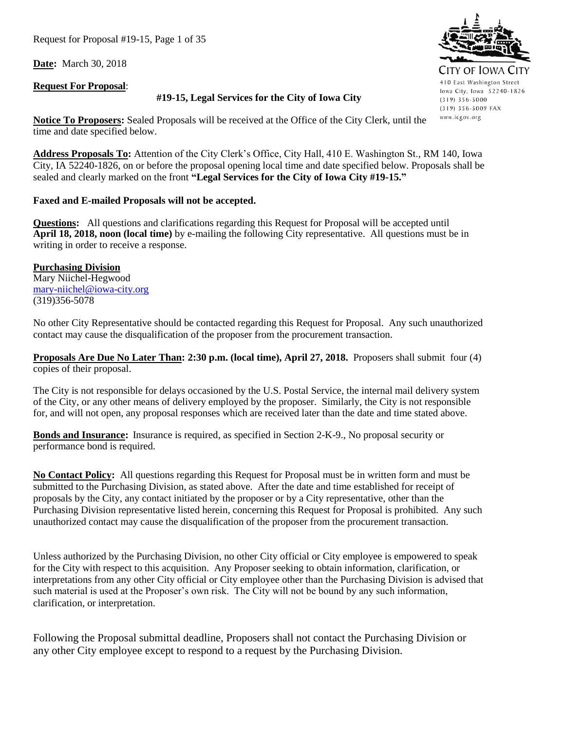Request for Proposal #19-15, Page 1 of 35

**Date:** March 30, 2018

#### **Request For Proposal**:

#### **#19-15, Legal Services for the City of Iowa City**

**Notice To Proposers:** Sealed Proposals will be received at the Office of the City Clerk, until the time and date specified below.

**Address Proposals To:** Attention of the City Clerk's Office, City Hall, 410 E. Washington St., RM 140, Iowa City, IA 52240-1826, on or before the proposal opening local time and date specified below. Proposals shall be sealed and clearly marked on the front **"Legal Services for the City of Iowa City #19-15."** 

## **Faxed and E-mailed Proposals will not be accepted.**

**Questions:** All questions and clarifications regarding this Request for Proposal will be accepted until **April 18, 2018, noon (local time)** by e-mailing the following City representative. All questions must be in writing in order to receive a response.

**Purchasing Division** Mary Niichel-Hegwood [mary-niichel@iowa-city.org](mailto:mary-niichel@iowa-city.org) (319)356-5078

No other City Representative should be contacted regarding this Request for Proposal. Any such unauthorized contact may cause the disqualification of the proposer from the procurement transaction.

**Proposals Are Due No Later Than: 2:30 p.m. (local time), April 27, 2018.** Proposers shall submit four (4) copies of their proposal.

The City is not responsible for delays occasioned by the U.S. Postal Service, the internal mail delivery system of the City, or any other means of delivery employed by the proposer. Similarly, the City is not responsible for, and will not open, any proposal responses which are received later than the date and time stated above.

**Bonds and Insurance:** Insurance is required, as specified in Section 2-K-9., No proposal security or performance bond is required.

**No Contact Policy:** All questions regarding this Request for Proposal must be in written form and must be submitted to the Purchasing Division, as stated above. After the date and time established for receipt of proposals by the City, any contact initiated by the proposer or by a City representative, other than the Purchasing Division representative listed herein, concerning this Request for Proposal is prohibited. Any such unauthorized contact may cause the disqualification of the proposer from the procurement transaction.

Unless authorized by the Purchasing Division, no other City official or City employee is empowered to speak for the City with respect to this acquisition. Any Proposer seeking to obtain information, clarification, or interpretations from any other City official or City employee other than the Purchasing Division is advised that such material is used at the Proposer's own risk. The City will not be bound by any such information, clarification, or interpretation.

Following the Proposal submittal deadline, Proposers shall not contact the Purchasing Division or any other City employee except to respond to a request by the Purchasing Division.

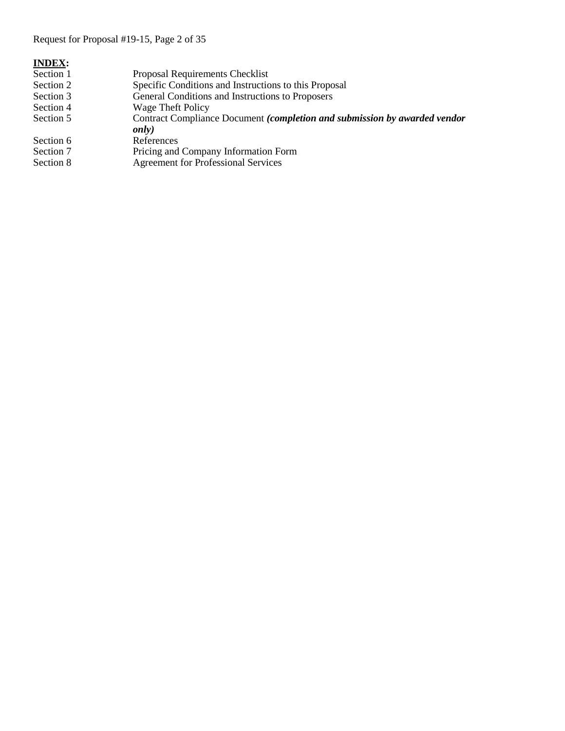Request for Proposal #19-15, Page 2 of 35

| <b>INDEX:</b> |                                                                                            |
|---------------|--------------------------------------------------------------------------------------------|
| Section 1     | Proposal Requirements Checklist                                                            |
| Section 2     | Specific Conditions and Instructions to this Proposal                                      |
| Section 3     | General Conditions and Instructions to Proposers                                           |
| Section 4     | Wage Theft Policy                                                                          |
| Section 5     | Contract Compliance Document (completion and submission by awarded vendor<br><i>only</i> ) |
| Section 6     | References                                                                                 |
|               |                                                                                            |
| Section 7     | Pricing and Company Information Form                                                       |
| Section 8     | <b>Agreement for Professional Services</b>                                                 |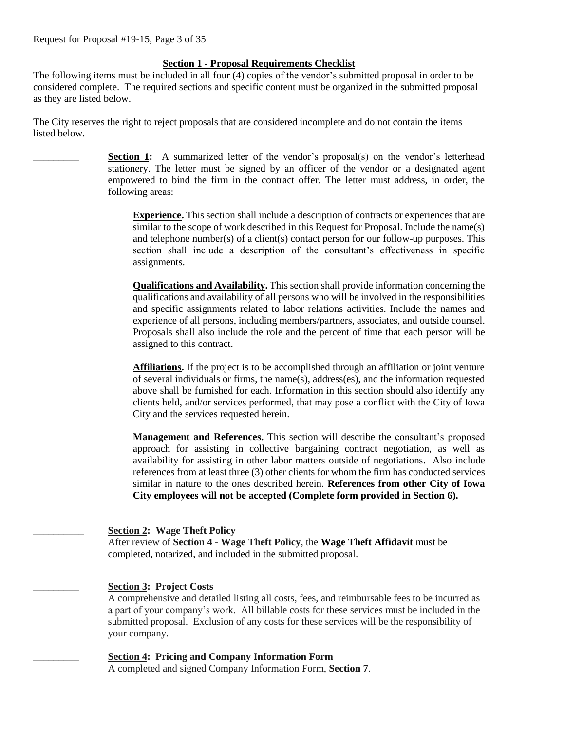## **Section 1 - Proposal Requirements Checklist**

The following items must be included in all four (4) copies of the vendor's submitted proposal in order to be considered complete. The required sections and specific content must be organized in the submitted proposal as they are listed below.

The City reserves the right to reject proposals that are considered incomplete and do not contain the items listed below.

> **Section 1:** A summarized letter of the vendor's proposal(s) on the vendor's letterhead stationery. The letter must be signed by an officer of the vendor or a designated agent empowered to bind the firm in the contract offer. The letter must address, in order, the following areas:

**Experience.** This section shall include a description of contracts or experiences that are similar to the scope of work described in this Request for Proposal. Include the name(s) and telephone number(s) of a client(s) contact person for our follow-up purposes. This section shall include a description of the consultant's effectiveness in specific assignments.

**Qualifications and Availability.** This section shall provide information concerning the qualifications and availability of all persons who will be involved in the responsibilities and specific assignments related to labor relations activities. Include the names and experience of all persons, including members/partners, associates, and outside counsel. Proposals shall also include the role and the percent of time that each person will be assigned to this contract.

**Affiliations.** If the project is to be accomplished through an affiliation or joint venture of several individuals or firms, the name(s), address(es), and the information requested above shall be furnished for each. Information in this section should also identify any clients held, and/or services performed, that may pose a conflict with the City of Iowa City and the services requested herein.

**Management and References.** This section will describe the consultant's proposed approach for assisting in collective bargaining contract negotiation, as well as availability for assisting in other labor matters outside of negotiations. Also include references from at least three (3) other clients for whom the firm has conducted services similar in nature to the ones described herein. **References from other City of Iowa City employees will not be accepted (Complete form provided in Section 6).**

#### \_\_\_\_\_\_\_\_\_\_ **Section 2: Wage Theft Policy**

After review of **Section 4 - Wage Theft Policy**, the **Wage Theft Affidavit** must be completed, notarized, and included in the submitted proposal.

## \_\_\_\_\_\_\_\_\_ **Section 3: Project Costs**

A comprehensive and detailed listing all costs, fees, and reimbursable fees to be incurred as a part of your company's work. All billable costs for these services must be included in the submitted proposal. Exclusion of any costs for these services will be the responsibility of your company.

\_\_\_\_\_\_\_\_\_ **Section 4: Pricing and Company Information Form** A completed and signed Company Information Form, **Section 7**.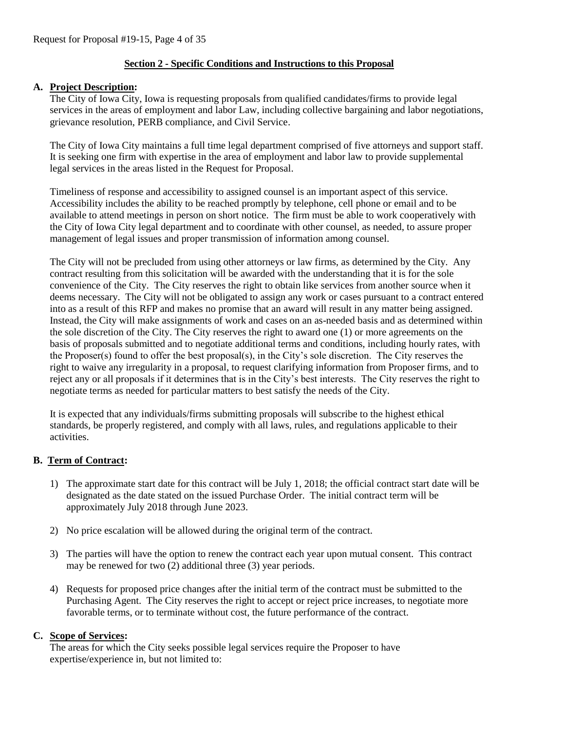## **Section 2 - Specific Conditions and Instructions to this Proposal**

#### **A. Project Description:**

The City of Iowa City, Iowa is requesting proposals from qualified candidates/firms to provide legal services in the areas of employment and labor Law, including collective bargaining and labor negotiations, grievance resolution, PERB compliance, and Civil Service.

The City of Iowa City maintains a full time legal department comprised of five attorneys and support staff. It is seeking one firm with expertise in the area of employment and labor law to provide supplemental legal services in the areas listed in the Request for Proposal.

Timeliness of response and accessibility to assigned counsel is an important aspect of this service. Accessibility includes the ability to be reached promptly by telephone, cell phone or email and to be available to attend meetings in person on short notice. The firm must be able to work cooperatively with the City of Iowa City legal department and to coordinate with other counsel, as needed, to assure proper management of legal issues and proper transmission of information among counsel.

The City will not be precluded from using other attorneys or law firms, as determined by the City. Any contract resulting from this solicitation will be awarded with the understanding that it is for the sole convenience of the City. The City reserves the right to obtain like services from another source when it deems necessary. The City will not be obligated to assign any work or cases pursuant to a contract entered into as a result of this RFP and makes no promise that an award will result in any matter being assigned. Instead, the City will make assignments of work and cases on an as-needed basis and as determined within the sole discretion of the City. The City reserves the right to award one (1) or more agreements on the basis of proposals submitted and to negotiate additional terms and conditions, including hourly rates, with the Proposer(s) found to offer the best proposal(s), in the City's sole discretion. The City reserves the right to waive any irregularity in a proposal, to request clarifying information from Proposer firms, and to reject any or all proposals if it determines that is in the City's best interests. The City reserves the right to negotiate terms as needed for particular matters to best satisfy the needs of the City.

It is expected that any individuals/firms submitting proposals will subscribe to the highest ethical standards, be properly registered, and comply with all laws, rules, and regulations applicable to their activities.

#### **B. Term of Contract:**

- 1) The approximate start date for this contract will be July 1, 2018; the official contract start date will be designated as the date stated on the issued Purchase Order. The initial contract term will be approximately July 2018 through June 2023.
- 2) No price escalation will be allowed during the original term of the contract.
- 3) The parties will have the option to renew the contract each year upon mutual consent. This contract may be renewed for two (2) additional three (3) year periods.
- 4) Requests for proposed price changes after the initial term of the contract must be submitted to the Purchasing Agent. The City reserves the right to accept or reject price increases, to negotiate more favorable terms, or to terminate without cost, the future performance of the contract.

#### **C. Scope of Services:**

The areas for which the City seeks possible legal services require the Proposer to have expertise/experience in, but not limited to: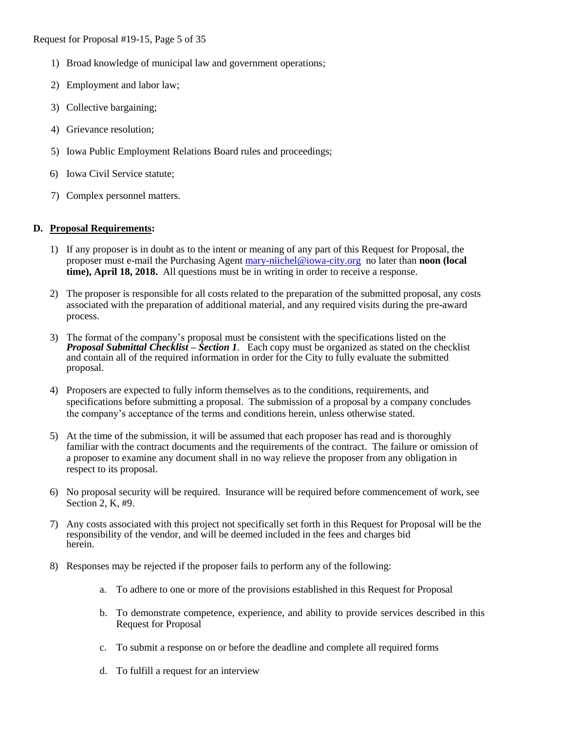- 1) Broad knowledge of municipal law and government operations;
- 2) Employment and labor law;
- 3) Collective bargaining;
- 4) Grievance resolution;
- 5) Iowa Public Employment Relations Board rules and proceedings;
- 6) Iowa Civil Service statute;
- 7) Complex personnel matters.

## **D. Proposal Requirements:**

- 1) If any proposer is in doubt as to the intent or meaning of any part of this Request for Proposal, the proposer must e-mail the Purchasing Agen[t mary-niichel@iowa-city.org](mailto:mary-niichel@iowa-city.org) no later than **noon (local time), April 18, 2018.** All questions must be in writing in order to receive a response.
- 2) The proposer is responsible for all costs related to the preparation of the submitted proposal, any costs associated with the preparation of additional material, and any required visits during the pre-award process.
- 3) The format of the company's proposal must be consistent with the specifications listed on the *Proposal Submittal Checklist – Section 1*. Each copy must be organized as stated on the checklist and contain all of the required information in order for the City to fully evaluate the submitted proposal.
- 4) Proposers are expected to fully inform themselves as to the conditions, requirements, and specifications before submitting a proposal. The submission of a proposal by a company concludes the company's acceptance of the terms and conditions herein, unless otherwise stated.
- 5) At the time of the submission, it will be assumed that each proposer has read and is thoroughly familiar with the contract documents and the requirements of the contract. The failure or omission of a proposer to examine any document shall in no way relieve the proposer from any obligation in respect to its proposal.
- 6) No proposal security will be required. Insurance will be required before commencement of work, see Section 2, K, #9.
- 7) Any costs associated with this project not specifically set forth in this Request for Proposal will be the responsibility of the vendor, and will be deemed included in the fees and charges bid herein.
- 8) Responses may be rejected if the proposer fails to perform any of the following:
	- a. To adhere to one or more of the provisions established in this Request for Proposal
	- b. To demonstrate competence, experience, and ability to provide services described in this Request for Proposal
	- c. To submit a response on or before the deadline and complete all required forms
	- d. To fulfill a request for an interview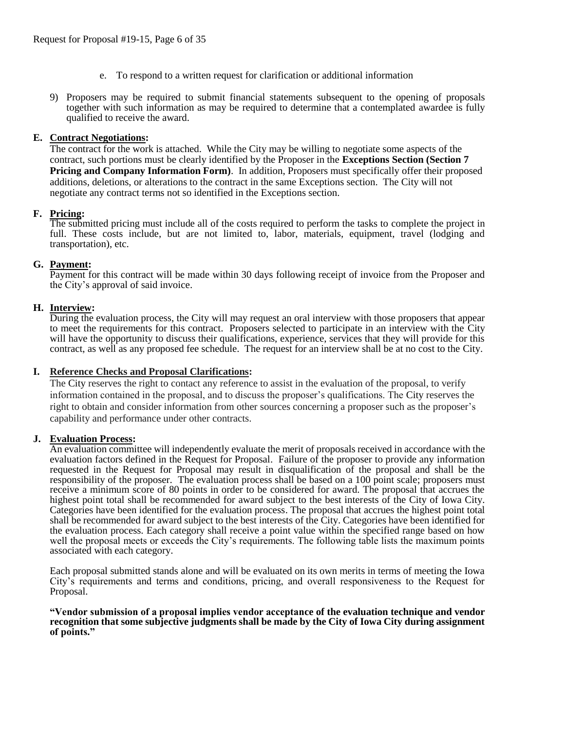- e. To respond to a written request for clarification or additional information
- 9) Proposers may be required to submit financial statements subsequent to the opening of proposals together with such information as may be required to determine that a contemplated awardee is fully qualified to receive the award.

#### **E. Contract Negotiations:**

The contract for the work is attached. While the City may be willing to negotiate some aspects of the contract, such portions must be clearly identified by the Proposer in the **Exceptions Section (Section 7 Pricing and Company Information Form)**. In addition, Proposers must specifically offer their proposed additions, deletions, or alterations to the contract in the same Exceptions section. The City will not negotiate any contract terms not so identified in the Exceptions section.

## **F. Pricing:**

The submitted pricing must include all of the costs required to perform the tasks to complete the project in full. These costs include, but are not limited to, labor, materials, equipment, travel (lodging and transportation), etc.

## **G. Payment:**

Payment for this contract will be made within 30 days following receipt of invoice from the Proposer and the City's approval of said invoice.

#### **H. Interview:**

During the evaluation process, the City will may request an oral interview with those proposers that appear to meet the requirements for this contract. Proposers selected to participate in an interview with the City will have the opportunity to discuss their qualifications, experience, services that they will provide for this contract, as well as any proposed fee schedule. The request for an interview shall be at no cost to the City.

#### **I. Reference Checks and Proposal Clarifications:**

The City reserves the right to contact any reference to assist in the evaluation of the proposal, to verify information contained in the proposal, and to discuss the proposer's qualifications. The City reserves the right to obtain and consider information from other sources concerning a proposer such as the proposer's capability and performance under other contracts.

#### **J. Evaluation Process:**

An evaluation committee will independently evaluate the merit of proposals received in accordance with the evaluation factors defined in the Request for Proposal. Failure of the proposer to provide any information requested in the Request for Proposal may result in disqualification of the proposal and shall be the responsibility of the proposer. The evaluation process shall be based on a 100 point scale; proposers must receive a minimum score of 80 points in order to be considered for award. The proposal that accrues the highest point total shall be recommended for award subject to the best interests of the City of Iowa City. Categories have been identified for the evaluation process. The proposal that accrues the highest point total shall be recommended for award subject to the best interests of the City. Categories have been identified for the evaluation process. Each category shall receive a point value within the specified range based on how well the proposal meets or exceeds the City's requirements. The following table lists the maximum points associated with each category.

Each proposal submitted stands alone and will be evaluated on its own merits in terms of meeting the Iowa City's requirements and terms and conditions, pricing, and overall responsiveness to the Request for Proposal.

#### **"Vendor submission of a proposal implies vendor acceptance of the evaluation technique and vendor recognition that some subjective judgments shall be made by the City of Iowa City during assignment of points."**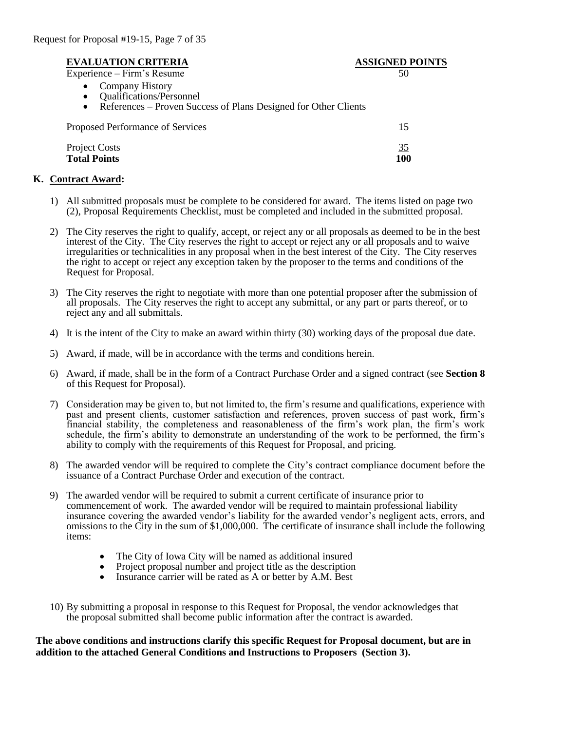## **EVALUATION CRITERIA ASSIGNED POINTS**

Experience – Firm's Resume 50

- Company History
- Qualifications/Personnel
- References Proven Success of Plans Designed for Other Clients

| Proposed Performance of Services |           |
|----------------------------------|-----------|
| <b>Project Costs</b>             | <u>35</u> |
| <b>Total Points</b>              | 100       |

#### **K. Contract Award:**

- 1) All submitted proposals must be complete to be considered for award. The items listed on page two (2), Proposal Requirements Checklist, must be completed and included in the submitted proposal.
- 2) The City reserves the right to qualify, accept, or reject any or all proposals as deemed to be in the best interest of the City. The City reserves the right to accept or reject any or all proposals and to waive irregularities or technicalities in any proposal when in the best interest of the City. The City reserves the right to accept or reject any exception taken by the proposer to the terms and conditions of the Request for Proposal.
- 3) The City reserves the right to negotiate with more than one potential proposer after the submission of all proposals. The City reserves the right to accept any submittal, or any part or parts thereof, or to reject any and all submittals.
- 4) It is the intent of the City to make an award within thirty (30) working days of the proposal due date.
- 5) Award, if made, will be in accordance with the terms and conditions herein.
- 6) Award, if made, shall be in the form of a Contract Purchase Order and a signed contract (see **Section 8** of this Request for Proposal).
- 7) Consideration may be given to, but not limited to, the firm's resume and qualifications, experience with past and present clients, customer satisfaction and references, proven success of past work, firm's financial stability, the completeness and reasonableness of the firm's work plan, the firm's work schedule, the firm's ability to demonstrate an understanding of the work to be performed, the firm's ability to comply with the requirements of this Request for Proposal, and pricing.
- 8) The awarded vendor will be required to complete the City's contract compliance document before the issuance of a Contract Purchase Order and execution of the contract.
- 9) The awarded vendor will be required to submit a current certificate of insurance prior to commencement of work. The awarded vendor will be required to maintain professional liability insurance covering the awarded vendor's liability for the awarded vendor's negligent acts, errors, and omissions to the City in the sum of \$1,000,000. The certificate of insurance shall include the following items:
	- The City of Iowa City will be named as additional insured
	- Project proposal number and project title as the description
	- Insurance carrier will be rated as A or better by A.M. Best
- 10) By submitting a proposal in response to this Request for Proposal, the vendor acknowledges that the proposal submitted shall become public information after the contract is awarded.

#### **The above conditions and instructions clarify this specific Request for Proposal document, but are in addition to the attached General Conditions and Instructions to Proposers (Section 3).**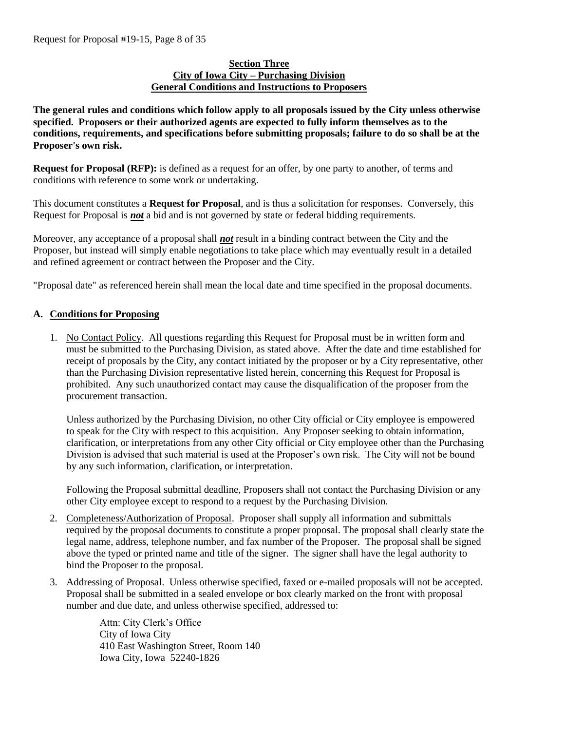#### **Section Three City of Iowa City – Purchasing Division General Conditions and Instructions to Proposers**

**The general rules and conditions which follow apply to all proposals issued by the City unless otherwise specified. Proposers or their authorized agents are expected to fully inform themselves as to the conditions, requirements, and specifications before submitting proposals; failure to do so shall be at the Proposer's own risk.**

**Request for Proposal (RFP):** is defined as a request for an offer, by one party to another, of terms and conditions with reference to some work or undertaking.

This document constitutes a **Request for Proposal**, and is thus a solicitation for responses. Conversely, this Request for Proposal is *not* a bid and is not governed by state or federal bidding requirements.

Moreover, any acceptance of a proposal shall *not* result in a binding contract between the City and the Proposer, but instead will simply enable negotiations to take place which may eventually result in a detailed and refined agreement or contract between the Proposer and the City.

"Proposal date" as referenced herein shall mean the local date and time specified in the proposal documents.

## **A. Conditions for Proposing**

1. No Contact Policy. All questions regarding this Request for Proposal must be in written form and must be submitted to the Purchasing Division, as stated above. After the date and time established for receipt of proposals by the City, any contact initiated by the proposer or by a City representative, other than the Purchasing Division representative listed herein, concerning this Request for Proposal is prohibited. Any such unauthorized contact may cause the disqualification of the proposer from the procurement transaction.

Unless authorized by the Purchasing Division, no other City official or City employee is empowered to speak for the City with respect to this acquisition. Any Proposer seeking to obtain information, clarification, or interpretations from any other City official or City employee other than the Purchasing Division is advised that such material is used at the Proposer's own risk. The City will not be bound by any such information, clarification, or interpretation.

Following the Proposal submittal deadline, Proposers shall not contact the Purchasing Division or any other City employee except to respond to a request by the Purchasing Division.

- 2. Completeness/Authorization of Proposal. Proposer shall supply all information and submittals required by the proposal documents to constitute a proper proposal. The proposal shall clearly state the legal name, address, telephone number, and fax number of the Proposer. The proposal shall be signed above the typed or printed name and title of the signer. The signer shall have the legal authority to bind the Proposer to the proposal.
- 3. Addressing of Proposal. Unless otherwise specified, faxed or e-mailed proposals will not be accepted. Proposal shall be submitted in a sealed envelope or box clearly marked on the front with proposal number and due date, and unless otherwise specified, addressed to:

Attn: City Clerk's Office City of Iowa City 410 East Washington Street, Room 140 Iowa City, Iowa 52240-1826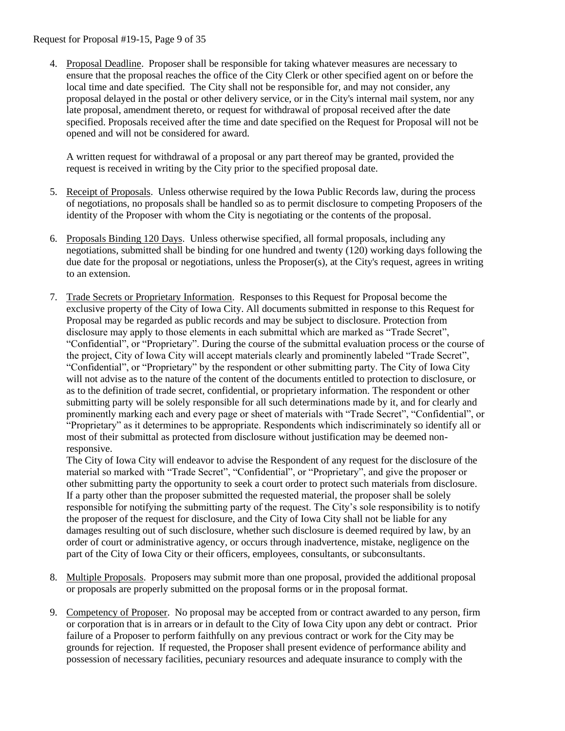Request for Proposal #19-15, Page 9 of 35

4. Proposal Deadline. Proposer shall be responsible for taking whatever measures are necessary to ensure that the proposal reaches the office of the City Clerk or other specified agent on or before the local time and date specified. The City shall not be responsible for, and may not consider, any proposal delayed in the postal or other delivery service, or in the City's internal mail system, nor any late proposal, amendment thereto, or request for withdrawal of proposal received after the date specified. Proposals received after the time and date specified on the Request for Proposal will not be opened and will not be considered for award.

A written request for withdrawal of a proposal or any part thereof may be granted, provided the request is received in writing by the City prior to the specified proposal date.

- 5. Receipt of Proposals. Unless otherwise required by the Iowa Public Records law, during the process of negotiations, no proposals shall be handled so as to permit disclosure to competing Proposers of the identity of the Proposer with whom the City is negotiating or the contents of the proposal.
- 6. Proposals Binding 120 Days. Unless otherwise specified, all formal proposals, including any negotiations, submitted shall be binding for one hundred and twenty (120) working days following the due date for the proposal or negotiations, unless the Proposer(s), at the City's request, agrees in writing to an extension.
- 7. Trade Secrets or Proprietary Information. Responses to this Request for Proposal become the exclusive property of the City of Iowa City. All documents submitted in response to this Request for Proposal may be regarded as public records and may be subject to disclosure. Protection from disclosure may apply to those elements in each submittal which are marked as "Trade Secret", "Confidential", or "Proprietary". During the course of the submittal evaluation process or the course of the project, City of Iowa City will accept materials clearly and prominently labeled "Trade Secret", "Confidential", or "Proprietary" by the respondent or other submitting party. The City of Iowa City will not advise as to the nature of the content of the documents entitled to protection to disclosure, or as to the definition of trade secret, confidential, or proprietary information. The respondent or other submitting party will be solely responsible for all such determinations made by it, and for clearly and prominently marking each and every page or sheet of materials with "Trade Secret", "Confidential", or "Proprietary" as it determines to be appropriate. Respondents which indiscriminately so identify all or most of their submittal as protected from disclosure without justification may be deemed nonresponsive.

The City of Iowa City will endeavor to advise the Respondent of any request for the disclosure of the material so marked with "Trade Secret", "Confidential", or "Proprietary", and give the proposer or other submitting party the opportunity to seek a court order to protect such materials from disclosure. If a party other than the proposer submitted the requested material, the proposer shall be solely responsible for notifying the submitting party of the request. The City's sole responsibility is to notify the proposer of the request for disclosure, and the City of Iowa City shall not be liable for any damages resulting out of such disclosure, whether such disclosure is deemed required by law, by an order of court or administrative agency, or occurs through inadvertence, mistake, negligence on the part of the City of Iowa City or their officers, employees, consultants, or subconsultants.

- 8. Multiple Proposals. Proposers may submit more than one proposal, provided the additional proposal or proposals are properly submitted on the proposal forms or in the proposal format.
- 9. Competency of Proposer. No proposal may be accepted from or contract awarded to any person, firm or corporation that is in arrears or in default to the City of Iowa City upon any debt or contract. Prior failure of a Proposer to perform faithfully on any previous contract or work for the City may be grounds for rejection. If requested, the Proposer shall present evidence of performance ability and possession of necessary facilities, pecuniary resources and adequate insurance to comply with the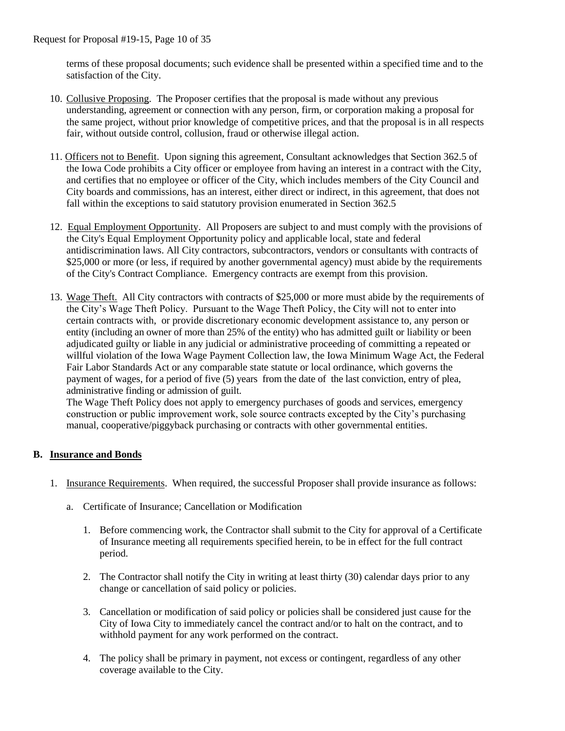terms of these proposal documents; such evidence shall be presented within a specified time and to the satisfaction of the City.

- 10. Collusive Proposing. The Proposer certifies that the proposal is made without any previous understanding, agreement or connection with any person, firm, or corporation making a proposal for the same project, without prior knowledge of competitive prices, and that the proposal is in all respects fair, without outside control, collusion, fraud or otherwise illegal action.
- 11. Officers not to Benefit. Upon signing this agreement, Consultant acknowledges that Section 362.5 of the Iowa Code prohibits a City officer or employee from having an interest in a contract with the City, and certifies that no employee or officer of the City, which includes members of the City Council and City boards and commissions, has an interest, either direct or indirect, in this agreement, that does not fall within the exceptions to said statutory provision enumerated in Section 362.5
- 12. Equal Employment Opportunity. All Proposers are subject to and must comply with the provisions of the City's Equal Employment Opportunity policy and applicable local, state and federal antidiscrimination laws. All City contractors, subcontractors, vendors or consultants with contracts of \$25,000 or more (or less, if required by another governmental agency) must abide by the requirements of the City's Contract Compliance. Emergency contracts are exempt from this provision.
- 13. Wage Theft. All City contractors with contracts of \$25,000 or more must abide by the requirements of the City's Wage Theft Policy. Pursuant to the Wage Theft Policy, the City will not to enter into certain contracts with, or provide discretionary economic development assistance to, any person or entity (including an owner of more than 25% of the entity) who has admitted guilt or liability or been adjudicated guilty or liable in any judicial or administrative proceeding of committing a repeated or willful violation of the Iowa Wage Payment Collection law, the Iowa Minimum Wage Act, the Federal Fair Labor Standards Act or any comparable state statute or local ordinance, which governs the payment of wages, for a period of five (5) years from the date of the last conviction, entry of plea, administrative finding or admission of guilt.

The Wage Theft Policy does not apply to emergency purchases of goods and services, emergency construction or public improvement work, sole source contracts excepted by the City's purchasing manual, cooperative/piggyback purchasing or contracts with other governmental entities.

## **B. Insurance and Bonds**

- 1. Insurance Requirements. When required, the successful Proposer shall provide insurance as follows:
	- a. Certificate of Insurance; Cancellation or Modification
		- 1. Before commencing work, the Contractor shall submit to the City for approval of a Certificate of Insurance meeting all requirements specified herein, to be in effect for the full contract period.
		- 2. The Contractor shall notify the City in writing at least thirty (30) calendar days prior to any change or cancellation of said policy or policies.
		- 3. Cancellation or modification of said policy or policies shall be considered just cause for the City of Iowa City to immediately cancel the contract and/or to halt on the contract, and to withhold payment for any work performed on the contract.
		- 4. The policy shall be primary in payment, not excess or contingent, regardless of any other coverage available to the City.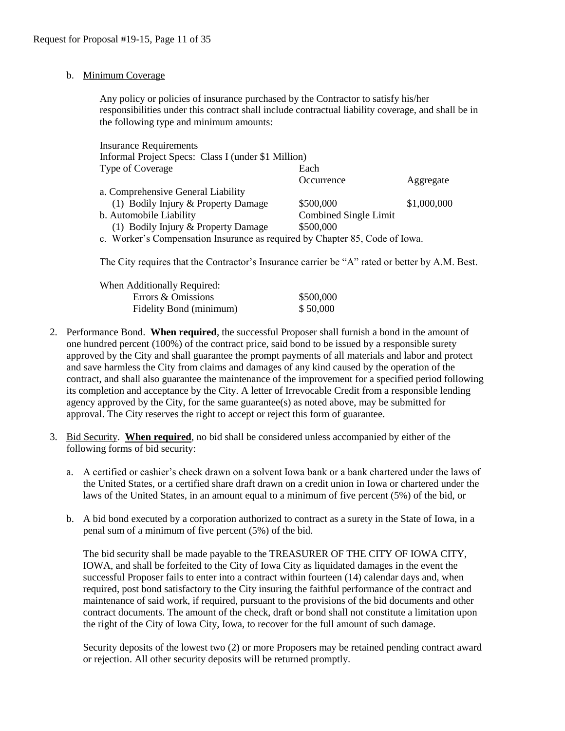#### b. Minimum Coverage

Any policy or policies of insurance purchased by the Contractor to satisfy his/her responsibilities under this contract shall include contractual liability coverage, and shall be in the following type and minimum amounts:

| <b>Insurance Requirements</b>                                               |                       |             |
|-----------------------------------------------------------------------------|-----------------------|-------------|
| Informal Project Specs: Class I (under \$1 Million)                         |                       |             |
| Type of Coverage                                                            | Each                  |             |
|                                                                             | Occurrence            | Aggregate   |
| a. Comprehensive General Liability                                          |                       |             |
| (1) Bodily Injury & Property Damage                                         | \$500,000             | \$1,000,000 |
| b. Automobile Liability                                                     | Combined Single Limit |             |
| (1) Bodily Injury & Property Damage                                         | \$500,000             |             |
| c. Worker's Compensation Insurance as required by Chapter 85, Code of Iowa. |                       |             |

The City requires that the Contractor's Insurance carrier be "A" rated or better by A.M. Best.

| When Additionally Required: |           |
|-----------------------------|-----------|
| Errors & Omissions          | \$500,000 |
| Fidelity Bond (minimum)     | \$50,000  |

- 2. Performance Bond. **When required**, the successful Proposer shall furnish a bond in the amount of one hundred percent (100%) of the contract price, said bond to be issued by a responsible surety approved by the City and shall guarantee the prompt payments of all materials and labor and protect and save harmless the City from claims and damages of any kind caused by the operation of the contract, and shall also guarantee the maintenance of the improvement for a specified period following its completion and acceptance by the City. A letter of Irrevocable Credit from a responsible lending agency approved by the City, for the same guarantee(s) as noted above, may be submitted for approval. The City reserves the right to accept or reject this form of guarantee.
- 3. Bid Security. **When required**, no bid shall be considered unless accompanied by either of the following forms of bid security:
	- a. A certified or cashier's check drawn on a solvent Iowa bank or a bank chartered under the laws of the United States, or a certified share draft drawn on a credit union in Iowa or chartered under the laws of the United States, in an amount equal to a minimum of five percent (5%) of the bid, or
	- b. A bid bond executed by a corporation authorized to contract as a surety in the State of Iowa, in a penal sum of a minimum of five percent (5%) of the bid.

The bid security shall be made payable to the TREASURER OF THE CITY OF IOWA CITY, IOWA, and shall be forfeited to the City of Iowa City as liquidated damages in the event the successful Proposer fails to enter into a contract within fourteen (14) calendar days and, when required, post bond satisfactory to the City insuring the faithful performance of the contract and maintenance of said work, if required, pursuant to the provisions of the bid documents and other contract documents. The amount of the check, draft or bond shall not constitute a limitation upon the right of the City of Iowa City, Iowa, to recover for the full amount of such damage.

Security deposits of the lowest two (2) or more Proposers may be retained pending contract award or rejection. All other security deposits will be returned promptly.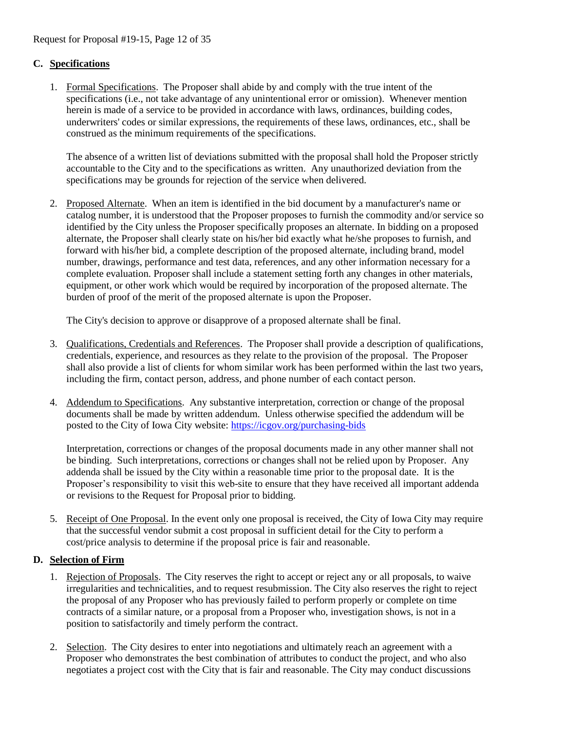# **C. Specifications**

1. Formal Specifications. The Proposer shall abide by and comply with the true intent of the specifications (i.e., not take advantage of any unintentional error or omission). Whenever mention herein is made of a service to be provided in accordance with laws, ordinances, building codes, underwriters' codes or similar expressions, the requirements of these laws, ordinances, etc., shall be construed as the minimum requirements of the specifications.

The absence of a written list of deviations submitted with the proposal shall hold the Proposer strictly accountable to the City and to the specifications as written. Any unauthorized deviation from the specifications may be grounds for rejection of the service when delivered.

2. Proposed Alternate. When an item is identified in the bid document by a manufacturer's name or catalog number, it is understood that the Proposer proposes to furnish the commodity and/or service so identified by the City unless the Proposer specifically proposes an alternate. In bidding on a proposed alternate, the Proposer shall clearly state on his/her bid exactly what he/she proposes to furnish, and forward with his/her bid, a complete description of the proposed alternate, including brand, model number, drawings, performance and test data, references, and any other information necessary for a complete evaluation. Proposer shall include a statement setting forth any changes in other materials, equipment, or other work which would be required by incorporation of the proposed alternate. The burden of proof of the merit of the proposed alternate is upon the Proposer.

The City's decision to approve or disapprove of a proposed alternate shall be final.

- 3. Qualifications, Credentials and References. The Proposer shall provide a description of qualifications, credentials, experience, and resources as they relate to the provision of the proposal. The Proposer shall also provide a list of clients for whom similar work has been performed within the last two years, including the firm, contact person, address, and phone number of each contact person.
- 4. Addendum to Specifications. Any substantive interpretation, correction or change of the proposal documents shall be made by written addendum. Unless otherwise specified the addendum will be posted to the City of Iowa City website:<https://icgov.org/purchasing-bids>

Interpretation, corrections or changes of the proposal documents made in any other manner shall not be binding. Such interpretations, corrections or changes shall not be relied upon by Proposer. Any addenda shall be issued by the City within a reasonable time prior to the proposal date. It is the Proposer's responsibility to visit this web-site to ensure that they have received all important addenda or revisions to the Request for Proposal prior to bidding.

5. Receipt of One Proposal. In the event only one proposal is received, the City of Iowa City may require that the successful vendor submit a cost proposal in sufficient detail for the City to perform a cost/price analysis to determine if the proposal price is fair and reasonable.

## **D. Selection of Firm**

- 1. Rejection of Proposals. The City reserves the right to accept or reject any or all proposals, to waive irregularities and technicalities, and to request resubmission. The City also reserves the right to reject the proposal of any Proposer who has previously failed to perform properly or complete on time contracts of a similar nature, or a proposal from a Proposer who, investigation shows, is not in a position to satisfactorily and timely perform the contract.
- 2. Selection. The City desires to enter into negotiations and ultimately reach an agreement with a Proposer who demonstrates the best combination of attributes to conduct the project, and who also negotiates a project cost with the City that is fair and reasonable. The City may conduct discussions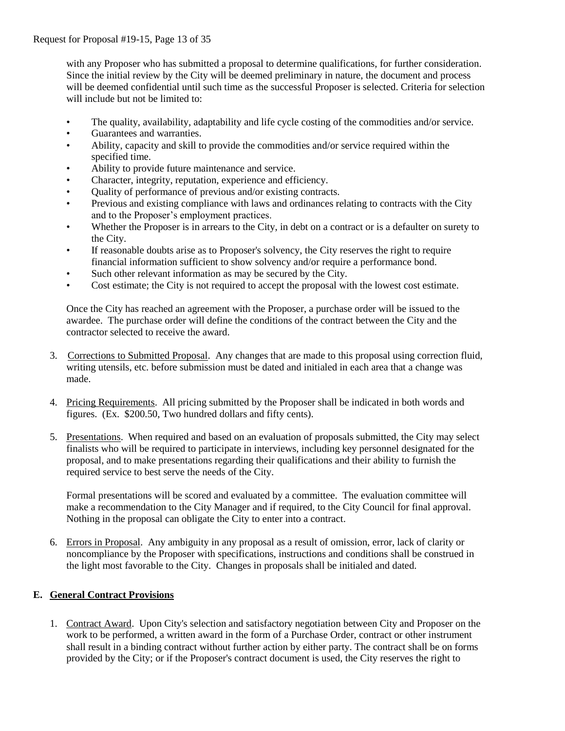with any Proposer who has submitted a proposal to determine qualifications, for further consideration. Since the initial review by the City will be deemed preliminary in nature, the document and process will be deemed confidential until such time as the successful Proposer is selected. Criteria for selection will include but not be limited to:

- The quality, availability, adaptability and life cycle costing of the commodities and/or service.
- Guarantees and warranties.
- Ability, capacity and skill to provide the commodities and/or service required within the specified time.
- Ability to provide future maintenance and service.
- Character, integrity, reputation, experience and efficiency.
- Quality of performance of previous and/or existing contracts.
- Previous and existing compliance with laws and ordinances relating to contracts with the City and to the Proposer's employment practices.
- Whether the Proposer is in arrears to the City, in debt on a contract or is a defaulter on surety to the City.
- If reasonable doubts arise as to Proposer's solvency, the City reserves the right to require financial information sufficient to show solvency and/or require a performance bond.
- Such other relevant information as may be secured by the City.
- Cost estimate; the City is not required to accept the proposal with the lowest cost estimate.

Once the City has reached an agreement with the Proposer, a purchase order will be issued to the awardee. The purchase order will define the conditions of the contract between the City and the contractor selected to receive the award.

- 3. Corrections to Submitted Proposal. Any changes that are made to this proposal using correction fluid, writing utensils, etc. before submission must be dated and initialed in each area that a change was made.
- 4. Pricing Requirements. All pricing submitted by the Proposer shall be indicated in both words and figures. (Ex. \$200.50, Two hundred dollars and fifty cents).
- 5. Presentations. When required and based on an evaluation of proposals submitted, the City may select finalists who will be required to participate in interviews, including key personnel designated for the proposal, and to make presentations regarding their qualifications and their ability to furnish the required service to best serve the needs of the City.

Formal presentations will be scored and evaluated by a committee. The evaluation committee will make a recommendation to the City Manager and if required, to the City Council for final approval. Nothing in the proposal can obligate the City to enter into a contract.

6. Errors in Proposal. Any ambiguity in any proposal as a result of omission, error, lack of clarity or noncompliance by the Proposer with specifications, instructions and conditions shall be construed in the light most favorable to the City. Changes in proposals shall be initialed and dated.

## **E. General Contract Provisions**

1. Contract Award. Upon City's selection and satisfactory negotiation between City and Proposer on the work to be performed, a written award in the form of a Purchase Order, contract or other instrument shall result in a binding contract without further action by either party. The contract shall be on forms provided by the City; or if the Proposer's contract document is used, the City reserves the right to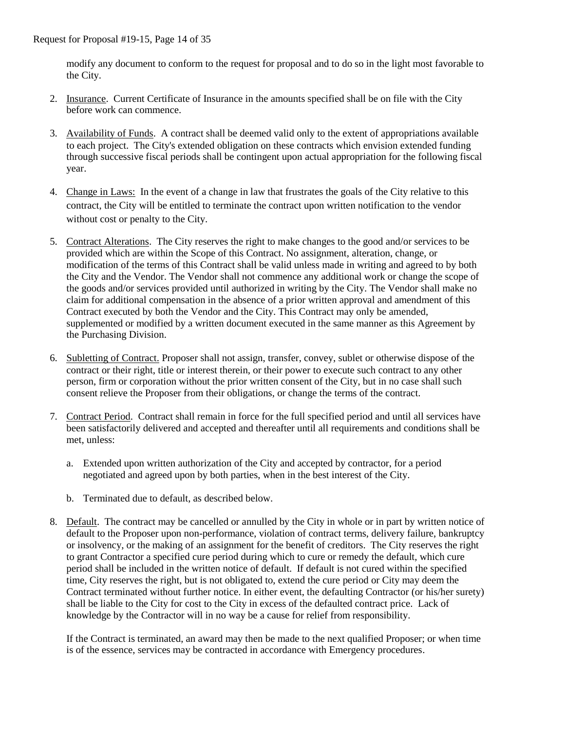modify any document to conform to the request for proposal and to do so in the light most favorable to the City.

- 2. Insurance. Current Certificate of Insurance in the amounts specified shall be on file with the City before work can commence.
- 3. Availability of Funds. A contract shall be deemed valid only to the extent of appropriations available to each project. The City's extended obligation on these contracts which envision extended funding through successive fiscal periods shall be contingent upon actual appropriation for the following fiscal year.
- 4. Change in Laws: In the event of a change in law that frustrates the goals of the City relative to this contract, the City will be entitled to terminate the contract upon written notification to the vendor without cost or penalty to the City.
- 5. Contract Alterations. The City reserves the right to make changes to the good and/or services to be provided which are within the Scope of this Contract. No assignment, alteration, change, or modification of the terms of this Contract shall be valid unless made in writing and agreed to by both the City and the Vendor. The Vendor shall not commence any additional work or change the scope of the goods and/or services provided until authorized in writing by the City. The Vendor shall make no claim for additional compensation in the absence of a prior written approval and amendment of this Contract executed by both the Vendor and the City. This Contract may only be amended, supplemented or modified by a written document executed in the same manner as this Agreement by the Purchasing Division.
- 6. Subletting of Contract. Proposer shall not assign, transfer, convey, sublet or otherwise dispose of the contract or their right, title or interest therein, or their power to execute such contract to any other person, firm or corporation without the prior written consent of the City, but in no case shall such consent relieve the Proposer from their obligations, or change the terms of the contract.
- 7. Contract Period. Contract shall remain in force for the full specified period and until all services have been satisfactorily delivered and accepted and thereafter until all requirements and conditions shall be met, unless:
	- a. Extended upon written authorization of the City and accepted by contractor, for a period negotiated and agreed upon by both parties, when in the best interest of the City.
	- b. Terminated due to default, as described below.
- 8. Default. The contract may be cancelled or annulled by the City in whole or in part by written notice of default to the Proposer upon non-performance, violation of contract terms, delivery failure, bankruptcy or insolvency, or the making of an assignment for the benefit of creditors. The City reserves the right to grant Contractor a specified cure period during which to cure or remedy the default, which cure period shall be included in the written notice of default. If default is not cured within the specified time, City reserves the right, but is not obligated to, extend the cure period or City may deem the Contract terminated without further notice. In either event, the defaulting Contractor (or his/her surety) shall be liable to the City for cost to the City in excess of the defaulted contract price. Lack of knowledge by the Contractor will in no way be a cause for relief from responsibility.

If the Contract is terminated, an award may then be made to the next qualified Proposer; or when time is of the essence, services may be contracted in accordance with Emergency procedures.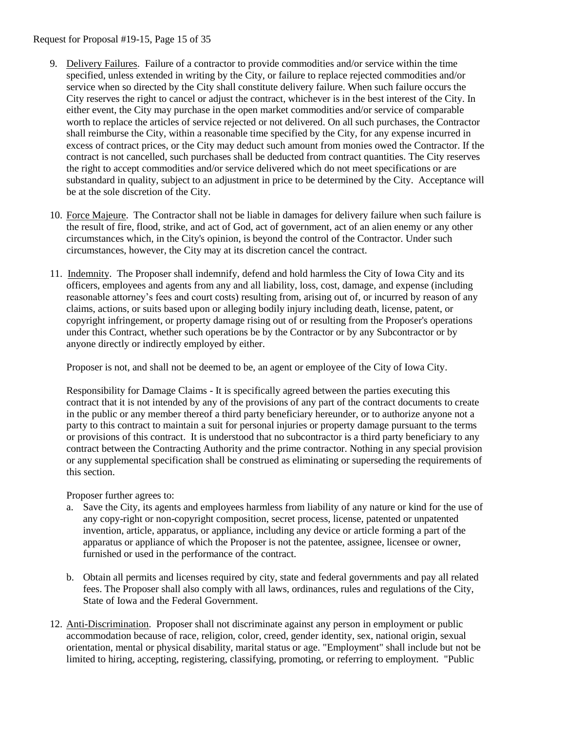Request for Proposal #19-15, Page 15 of 35

- 9. Delivery Failures. Failure of a contractor to provide commodities and/or service within the time specified, unless extended in writing by the City, or failure to replace rejected commodities and/or service when so directed by the City shall constitute delivery failure. When such failure occurs the City reserves the right to cancel or adjust the contract, whichever is in the best interest of the City. In either event, the City may purchase in the open market commodities and/or service of comparable worth to replace the articles of service rejected or not delivered. On all such purchases, the Contractor shall reimburse the City, within a reasonable time specified by the City, for any expense incurred in excess of contract prices, or the City may deduct such amount from monies owed the Contractor. If the contract is not cancelled, such purchases shall be deducted from contract quantities. The City reserves the right to accept commodities and/or service delivered which do not meet specifications or are substandard in quality, subject to an adjustment in price to be determined by the City. Acceptance will be at the sole discretion of the City.
- 10. Force Majeure. The Contractor shall not be liable in damages for delivery failure when such failure is the result of fire, flood, strike, and act of God, act of government, act of an alien enemy or any other circumstances which, in the City's opinion, is beyond the control of the Contractor. Under such circumstances, however, the City may at its discretion cancel the contract.
- 11. Indemnity. The Proposer shall indemnify, defend and hold harmless the City of Iowa City and its officers, employees and agents from any and all liability, loss, cost, damage, and expense (including reasonable attorney's fees and court costs) resulting from, arising out of, or incurred by reason of any claims, actions, or suits based upon or alleging bodily injury including death, license, patent, or copyright infringement, or property damage rising out of or resulting from the Proposer's operations under this Contract, whether such operations be by the Contractor or by any Subcontractor or by anyone directly or indirectly employed by either.

Proposer is not, and shall not be deemed to be, an agent or employee of the City of Iowa City.

Responsibility for Damage Claims - It is specifically agreed between the parties executing this contract that it is not intended by any of the provisions of any part of the contract documents to create in the public or any member thereof a third party beneficiary hereunder, or to authorize anyone not a party to this contract to maintain a suit for personal injuries or property damage pursuant to the terms or provisions of this contract. It is understood that no subcontractor is a third party beneficiary to any contract between the Contracting Authority and the prime contractor. Nothing in any special provision or any supplemental specification shall be construed as eliminating or superseding the requirements of this section.

Proposer further agrees to:

- a. Save the City, its agents and employees harmless from liability of any nature or kind for the use of any copy-right or non-copyright composition, secret process, license, patented or unpatented invention, article, apparatus, or appliance, including any device or article forming a part of the apparatus or appliance of which the Proposer is not the patentee, assignee, licensee or owner, furnished or used in the performance of the contract.
- b. Obtain all permits and licenses required by city, state and federal governments and pay all related fees. The Proposer shall also comply with all laws, ordinances, rules and regulations of the City, State of Iowa and the Federal Government.
- 12. Anti-Discrimination. Proposer shall not discriminate against any person in employment or public accommodation because of race, religion, color, creed, gender identity, sex, national origin, sexual orientation, mental or physical disability, marital status or age. "Employment" shall include but not be limited to hiring, accepting, registering, classifying, promoting, or referring to employment. "Public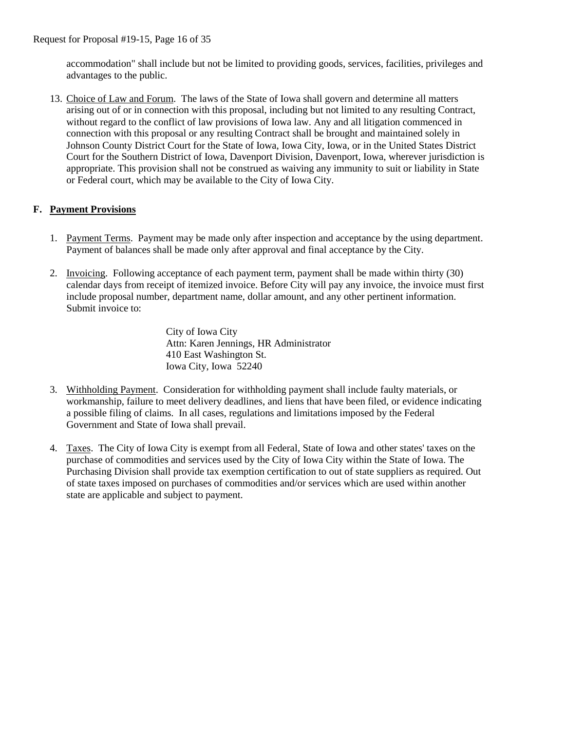accommodation" shall include but not be limited to providing goods, services, facilities, privileges and advantages to the public.

13. Choice of Law and Forum.The laws of the State of Iowa shall govern and determine all matters arising out of or in connection with this proposal, including but not limited to any resulting Contract, without regard to the conflict of law provisions of Iowa law. Any and all litigation commenced in connection with this proposal or any resulting Contract shall be brought and maintained solely in Johnson County District Court for the State of Iowa, Iowa City, Iowa, or in the United States District Court for the Southern District of Iowa, Davenport Division, Davenport, Iowa, wherever jurisdiction is appropriate. This provision shall not be construed as waiving any immunity to suit or liability in State or Federal court, which may be available to the City of Iowa City.

# **F. Payment Provisions**

- 1. Payment Terms. Payment may be made only after inspection and acceptance by the using department. Payment of balances shall be made only after approval and final acceptance by the City.
- 2. Invoicing. Following acceptance of each payment term, payment shall be made within thirty (30) calendar days from receipt of itemized invoice. Before City will pay any invoice, the invoice must first include proposal number, department name, dollar amount, and any other pertinent information. Submit invoice to:

City of Iowa City Attn: Karen Jennings, HR Administrator 410 East Washington St. Iowa City, Iowa 52240

- 3. Withholding Payment. Consideration for withholding payment shall include faulty materials, or workmanship, failure to meet delivery deadlines, and liens that have been filed, or evidence indicating a possible filing of claims. In all cases, regulations and limitations imposed by the Federal Government and State of Iowa shall prevail.
- 4. Taxes. The City of Iowa City is exempt from all Federal, State of Iowa and other states' taxes on the purchase of commodities and services used by the City of Iowa City within the State of Iowa. The Purchasing Division shall provide tax exemption certification to out of state suppliers as required. Out of state taxes imposed on purchases of commodities and/or services which are used within another state are applicable and subject to payment.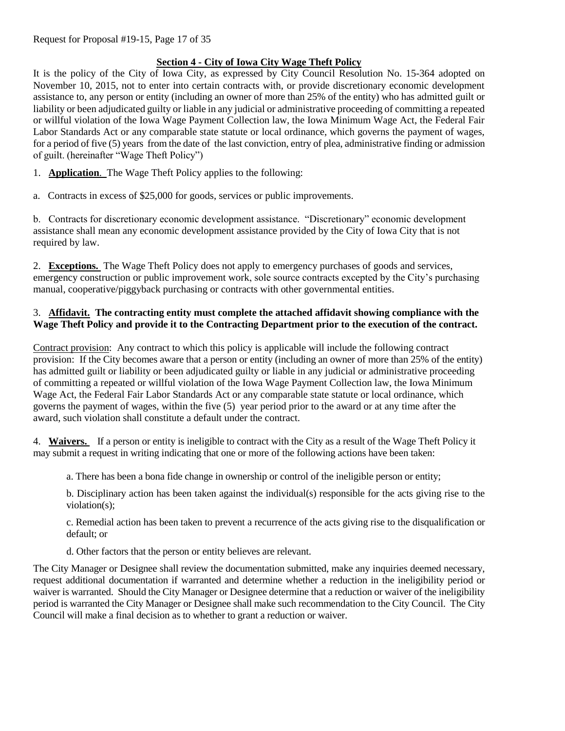# **Section 4 - City of Iowa City Wage Theft Policy**

It is the policy of the City of Iowa City, as expressed by City Council Resolution No. 15-364 adopted on November 10, 2015, not to enter into certain contracts with, or provide discretionary economic development assistance to, any person or entity (including an owner of more than 25% of the entity) who has admitted guilt or liability or been adjudicated guilty or liable in any judicial or administrative proceeding of committing a repeated or willful violation of the Iowa Wage Payment Collection law, the Iowa Minimum Wage Act, the Federal Fair Labor Standards Act or any comparable state statute or local ordinance, which governs the payment of wages, for a period of five (5) years from the date of the last conviction, entry of plea, administrative finding or admission of guilt. (hereinafter "Wage Theft Policy")

1. **Application**. The Wage Theft Policy applies to the following:

a. Contracts in excess of \$25,000 for goods, services or public improvements.

b. Contracts for discretionary economic development assistance. "Discretionary" economic development assistance shall mean any economic development assistance provided by the City of Iowa City that is not required by law.

2. **Exceptions.** The Wage Theft Policy does not apply to emergency purchases of goods and services, emergency construction or public improvement work, sole source contracts excepted by the City's purchasing manual, cooperative/piggyback purchasing or contracts with other governmental entities.

## 3. **Affidavit. The contracting entity must complete the attached affidavit showing compliance with the Wage Theft Policy and provide it to the Contracting Department prior to the execution of the contract.**

Contract provision: Any contract to which this policy is applicable will include the following contract provision: If the City becomes aware that a person or entity (including an owner of more than 25% of the entity) has admitted guilt or liability or been adjudicated guilty or liable in any judicial or administrative proceeding of committing a repeated or willful violation of the Iowa Wage Payment Collection law, the Iowa Minimum Wage Act, the Federal Fair Labor Standards Act or any comparable state statute or local ordinance, which governs the payment of wages, within the five (5) year period prior to the award or at any time after the award, such violation shall constitute a default under the contract.

4. **Waivers.** If a person or entity is ineligible to contract with the City as a result of the Wage Theft Policy it may submit a request in writing indicating that one or more of the following actions have been taken:

a. There has been a bona fide change in ownership or control of the ineligible person or entity;

b. Disciplinary action has been taken against the individual(s) responsible for the acts giving rise to the violation(s);

c. Remedial action has been taken to prevent a recurrence of the acts giving rise to the disqualification or default; or

d. Other factors that the person or entity believes are relevant.

The City Manager or Designee shall review the documentation submitted, make any inquiries deemed necessary, request additional documentation if warranted and determine whether a reduction in the ineligibility period or waiver is warranted. Should the City Manager or Designee determine that a reduction or waiver of the ineligibility period is warranted the City Manager or Designee shall make such recommendation to the City Council. The City Council will make a final decision as to whether to grant a reduction or waiver.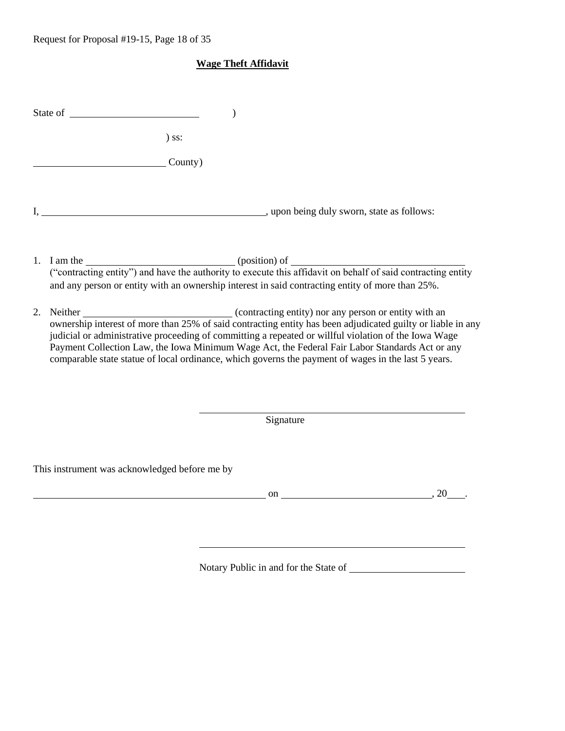# **Wage Theft Affidavit**

|    | State of the state of the state of the state of the state of the state of the state of the state of the state of the state of the state of the state of the state of the state of the state of the state of the state of the s                                                                                                                                                                                                                                                                                                                           | $\mathcal{)}$ |                                                                                                                                                                                                                                        |
|----|----------------------------------------------------------------------------------------------------------------------------------------------------------------------------------------------------------------------------------------------------------------------------------------------------------------------------------------------------------------------------------------------------------------------------------------------------------------------------------------------------------------------------------------------------------|---------------|----------------------------------------------------------------------------------------------------------------------------------------------------------------------------------------------------------------------------------------|
|    | $)$ ss:                                                                                                                                                                                                                                                                                                                                                                                                                                                                                                                                                  |               |                                                                                                                                                                                                                                        |
|    | County)                                                                                                                                                                                                                                                                                                                                                                                                                                                                                                                                                  |               |                                                                                                                                                                                                                                        |
|    |                                                                                                                                                                                                                                                                                                                                                                                                                                                                                                                                                          |               |                                                                                                                                                                                                                                        |
|    | 1. I am the <u>contracting entity</u> ") and have the authority to execute this affidavit on behalf of said contracting entity<br>and any person or entity with an ownership interest in said contracting entity of more than 25%.                                                                                                                                                                                                                                                                                                                       |               |                                                                                                                                                                                                                                        |
| 2. | Neither<br>ownership interest of more than 25% of said contracting entity has been adjudicated guilty or liable in any<br>and the same of more than 25% of said contracting entity has been adjudicated guilty or liable in any<br>stat<br>judicial or administrative proceeding of committing a repeated or willful violation of the Iowa Wage<br>Payment Collection Law, the Iowa Minimum Wage Act, the Federal Fair Labor Standards Act or any<br>comparable state statue of local ordinance, which governs the payment of wages in the last 5 years. |               |                                                                                                                                                                                                                                        |
|    |                                                                                                                                                                                                                                                                                                                                                                                                                                                                                                                                                          | Signature     |                                                                                                                                                                                                                                        |
|    | This instrument was acknowledged before me by                                                                                                                                                                                                                                                                                                                                                                                                                                                                                                            |               |                                                                                                                                                                                                                                        |
|    |                                                                                                                                                                                                                                                                                                                                                                                                                                                                                                                                                          |               | on and the contract of the contract of the contract of the contract of the contract of the contract of the contract of the contract of the contract of the contract of the contract of the contract of the contract of the con<br>, 20 |
|    |                                                                                                                                                                                                                                                                                                                                                                                                                                                                                                                                                          |               |                                                                                                                                                                                                                                        |

Notary Public in and for the State of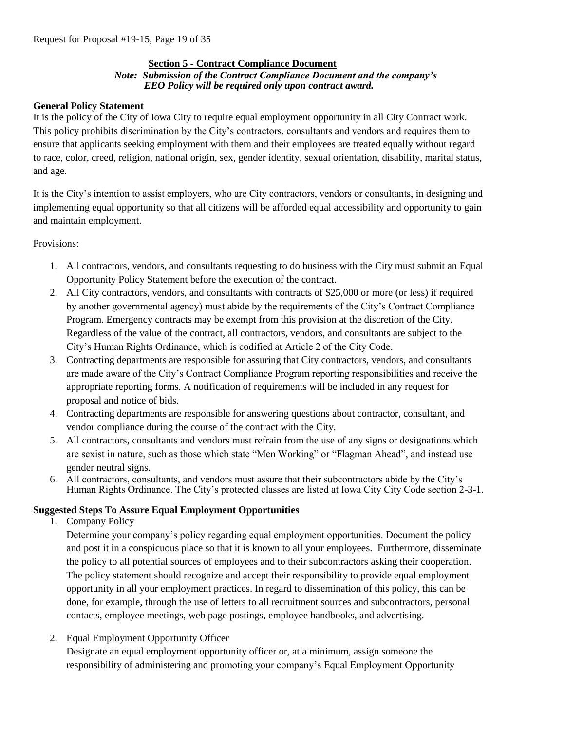## **Section 5 - Contract Compliance Document**

#### *Note: Submission of the Contract Compliance Document and the company's EEO Policy will be required only upon contract award.*

## **General Policy Statement**

It is the policy of the City of Iowa City to require equal employment opportunity in all City Contract work. This policy prohibits discrimination by the City's contractors, consultants and vendors and requires them to ensure that applicants seeking employment with them and their employees are treated equally without regard to race, color, creed, religion, national origin, sex, gender identity, sexual orientation, disability, marital status, and age.

It is the City's intention to assist employers, who are City contractors, vendors or consultants, in designing and implementing equal opportunity so that all citizens will be afforded equal accessibility and opportunity to gain and maintain employment.

Provisions:

- 1. All contractors, vendors, and consultants requesting to do business with the City must submit an Equal Opportunity Policy Statement before the execution of the contract.
- 2. All City contractors, vendors, and consultants with contracts of \$25,000 or more (or less) if required by another governmental agency) must abide by the requirements of the City's Contract Compliance Program. Emergency contracts may be exempt from this provision at the discretion of the City. Regardless of the value of the contract, all contractors, vendors, and consultants are subject to the City's Human Rights Ordinance, which is codified at Article 2 of the City Code.
- 3. Contracting departments are responsible for assuring that City contractors, vendors, and consultants are made aware of the City's Contract Compliance Program reporting responsibilities and receive the appropriate reporting forms. A notification of requirements will be included in any request for proposal and notice of bids.
- 4. Contracting departments are responsible for answering questions about contractor, consultant, and vendor compliance during the course of the contract with the City.
- 5. All contractors, consultants and vendors must refrain from the use of any signs or designations which are sexist in nature, such as those which state "Men Working" or "Flagman Ahead", and instead use gender neutral signs.
- 6. All contractors, consultants, and vendors must assure that their subcontractors abide by the City's Human Rights Ordinance. The City's protected classes are listed at Iowa City City Code section 2-3-1.

# **Suggested Steps To Assure Equal Employment Opportunities**

1. Company Policy

Determine your company's policy regarding equal employment opportunities. Document the policy and post it in a conspicuous place so that it is known to all your employees. Furthermore, disseminate the policy to all potential sources of employees and to their subcontractors asking their cooperation. The policy statement should recognize and accept their responsibility to provide equal employment opportunity in all your employment practices. In regard to dissemination of this policy, this can be done, for example, through the use of letters to all recruitment sources and subcontractors, personal contacts, employee meetings, web page postings, employee handbooks, and advertising.

2. Equal Employment Opportunity Officer

Designate an equal employment opportunity officer or, at a minimum, assign someone the responsibility of administering and promoting your company's Equal Employment Opportunity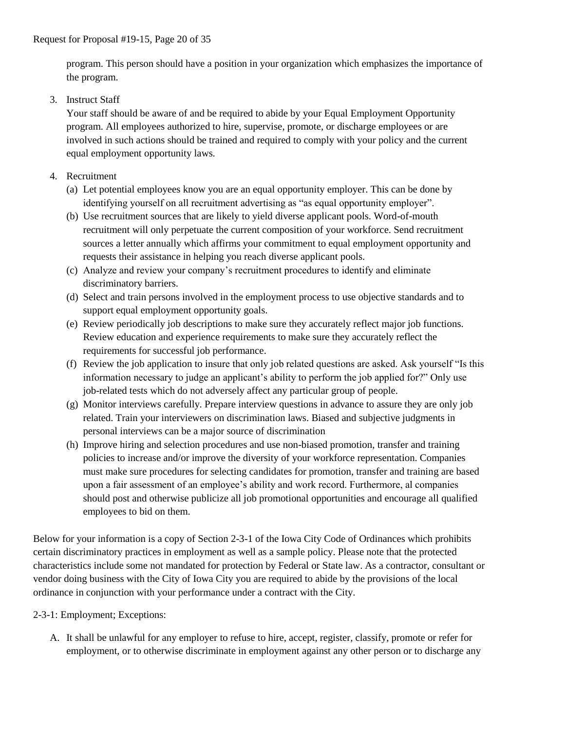program. This person should have a position in your organization which emphasizes the importance of the program.

3. Instruct Staff

Your staff should be aware of and be required to abide by your Equal Employment Opportunity program. All employees authorized to hire, supervise, promote, or discharge employees or are involved in such actions should be trained and required to comply with your policy and the current equal employment opportunity laws.

- 4. Recruitment
	- (a) Let potential employees know you are an equal opportunity employer. This can be done by identifying yourself on all recruitment advertising as "as equal opportunity employer".
	- (b) Use recruitment sources that are likely to yield diverse applicant pools. Word-of-mouth recruitment will only perpetuate the current composition of your workforce. Send recruitment sources a letter annually which affirms your commitment to equal employment opportunity and requests their assistance in helping you reach diverse applicant pools.
	- (c) Analyze and review your company's recruitment procedures to identify and eliminate discriminatory barriers.
	- (d) Select and train persons involved in the employment process to use objective standards and to support equal employment opportunity goals.
	- (e) Review periodically job descriptions to make sure they accurately reflect major job functions. Review education and experience requirements to make sure they accurately reflect the requirements for successful job performance.
	- (f) Review the job application to insure that only job related questions are asked. Ask yourself "Is this information necessary to judge an applicant's ability to perform the job applied for?" Only use job-related tests which do not adversely affect any particular group of people.
	- (g) Monitor interviews carefully. Prepare interview questions in advance to assure they are only job related. Train your interviewers on discrimination laws. Biased and subjective judgments in personal interviews can be a major source of discrimination
	- (h) Improve hiring and selection procedures and use non-biased promotion, transfer and training policies to increase and/or improve the diversity of your workforce representation. Companies must make sure procedures for selecting candidates for promotion, transfer and training are based upon a fair assessment of an employee's ability and work record. Furthermore, al companies should post and otherwise publicize all job promotional opportunities and encourage all qualified employees to bid on them.

Below for your information is a copy of Section 2-3-1 of the Iowa City Code of Ordinances which prohibits certain discriminatory practices in employment as well as a sample policy. Please note that the protected characteristics include some not mandated for protection by Federal or State law. As a contractor, consultant or vendor doing business with the City of Iowa City you are required to abide by the provisions of the local ordinance in conjunction with your performance under a contract with the City.

2-3-1: Employment; Exceptions:

A. It shall be unlawful for any employer to refuse to hire, accept, register, classify, promote or refer for employment, or to otherwise discriminate in employment against any other person or to discharge any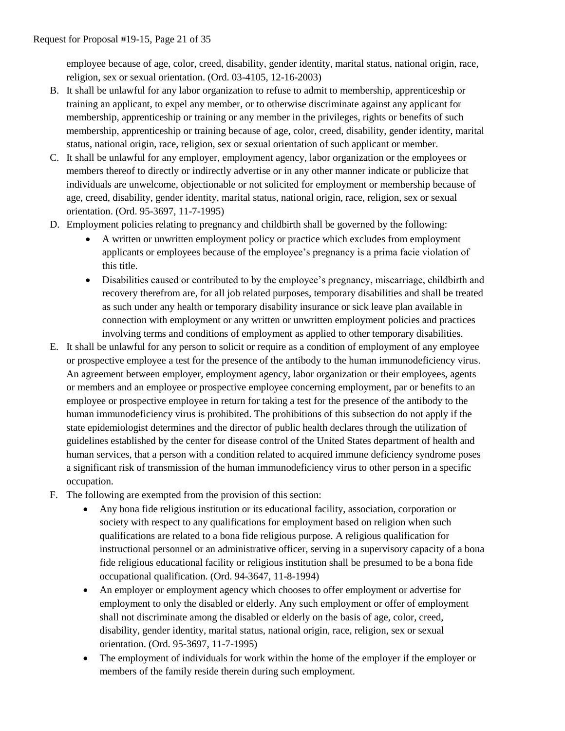employee because of age, color, creed, disability, gender identity, marital status, national origin, race, religion, sex or sexual orientation. (Ord. 03-4105, 12-16-2003)

- B. It shall be unlawful for any labor organization to refuse to admit to membership, apprenticeship or training an applicant, to expel any member, or to otherwise discriminate against any applicant for membership, apprenticeship or training or any member in the privileges, rights or benefits of such membership, apprenticeship or training because of age, color, creed, disability, gender identity, marital status, national origin, race, religion, sex or sexual orientation of such applicant or member.
- C. It shall be unlawful for any employer, employment agency, labor organization or the employees or members thereof to directly or indirectly advertise or in any other manner indicate or publicize that individuals are unwelcome, objectionable or not solicited for employment or membership because of age, creed, disability, gender identity, marital status, national origin, race, religion, sex or sexual orientation. (Ord. 95-3697, 11-7-1995)
- D. Employment policies relating to pregnancy and childbirth shall be governed by the following:
	- A written or unwritten employment policy or practice which excludes from employment applicants or employees because of the employee's pregnancy is a prima facie violation of this title.
	- Disabilities caused or contributed to by the employee's pregnancy, miscarriage, childbirth and recovery therefrom are, for all job related purposes, temporary disabilities and shall be treated as such under any health or temporary disability insurance or sick leave plan available in connection with employment or any written or unwritten employment policies and practices involving terms and conditions of employment as applied to other temporary disabilities.
- E. It shall be unlawful for any person to solicit or require as a condition of employment of any employee or prospective employee a test for the presence of the antibody to the human immunodeficiency virus. An agreement between employer, employment agency, labor organization or their employees, agents or members and an employee or prospective employee concerning employment, par or benefits to an employee or prospective employee in return for taking a test for the presence of the antibody to the human immunodeficiency virus is prohibited. The prohibitions of this subsection do not apply if the state epidemiologist determines and the director of public health declares through the utilization of guidelines established by the center for disease control of the United States department of health and human services, that a person with a condition related to acquired immune deficiency syndrome poses a significant risk of transmission of the human immunodeficiency virus to other person in a specific occupation.
- F. The following are exempted from the provision of this section:
	- Any bona fide religious institution or its educational facility, association, corporation or society with respect to any qualifications for employment based on religion when such qualifications are related to a bona fide religious purpose. A religious qualification for instructional personnel or an administrative officer, serving in a supervisory capacity of a bona fide religious educational facility or religious institution shall be presumed to be a bona fide occupational qualification. (Ord. 94-3647, 11-8-1994)
	- An employer or employment agency which chooses to offer employment or advertise for employment to only the disabled or elderly. Any such employment or offer of employment shall not discriminate among the disabled or elderly on the basis of age, color, creed, disability, gender identity, marital status, national origin, race, religion, sex or sexual orientation. (Ord. 95-3697, 11-7-1995)
	- The employment of individuals for work within the home of the employer if the employer or members of the family reside therein during such employment.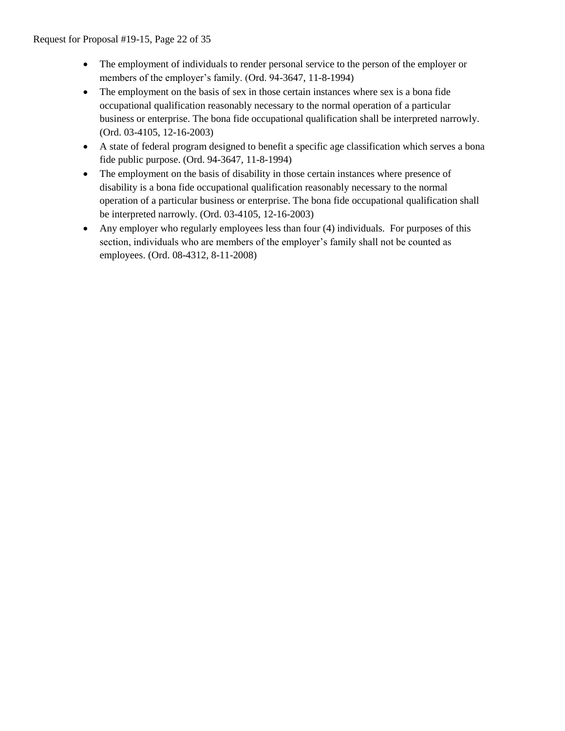- The employment of individuals to render personal service to the person of the employer or members of the employer's family. (Ord. 94-3647, 11-8-1994)
- The employment on the basis of sex in those certain instances where sex is a bona fide occupational qualification reasonably necessary to the normal operation of a particular business or enterprise. The bona fide occupational qualification shall be interpreted narrowly. (Ord. 03-4105, 12-16-2003)
- A state of federal program designed to benefit a specific age classification which serves a bona fide public purpose. (Ord. 94-3647, 11-8-1994)
- The employment on the basis of disability in those certain instances where presence of disability is a bona fide occupational qualification reasonably necessary to the normal operation of a particular business or enterprise. The bona fide occupational qualification shall be interpreted narrowly. (Ord. 03-4105, 12-16-2003)
- Any employer who regularly employees less than four (4) individuals. For purposes of this section, individuals who are members of the employer's family shall not be counted as employees. (Ord. 08-4312, 8-11-2008)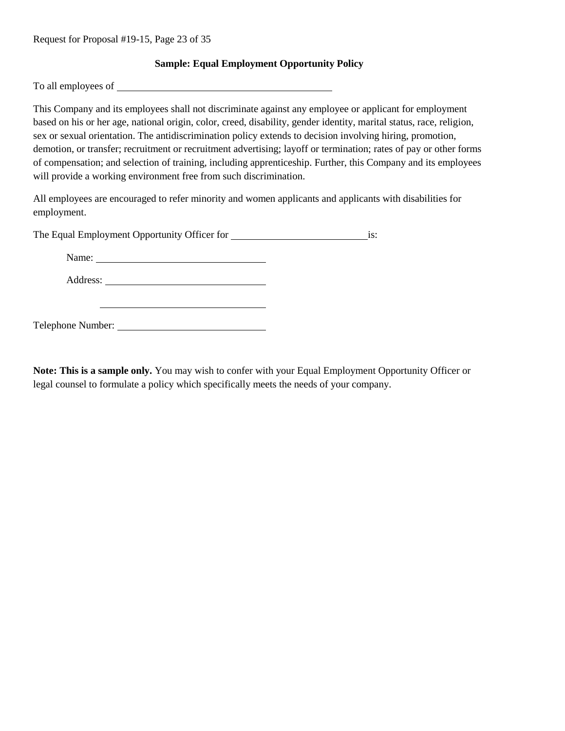## **Sample: Equal Employment Opportunity Policy**

To all employees of

This Company and its employees shall not discriminate against any employee or applicant for employment based on his or her age, national origin, color, creed, disability, gender identity, marital status, race, religion, sex or sexual orientation. The antidiscrimination policy extends to decision involving hiring, promotion, demotion, or transfer; recruitment or recruitment advertising; layoff or termination; rates of pay or other forms of compensation; and selection of training, including apprenticeship. Further, this Company and its employees will provide a working environment free from such discrimination.

All employees are encouraged to refer minority and women applicants and applicants with disabilities for employment.

The Equal Employment Opportunity Officer for is:

Name: Name: Name: Name: Name: Name: Name: Name: Name: Name: Name: Name: Name: Name: Name: Name: Name: Name: Name: Name: Name: Name: Name: Name: Name: Name: Name: Name: Name: Name: Name: Name: Name: Name: Name: Name: Name:

Address:

Telephone Number:

**Note: This is a sample only.** You may wish to confer with your Equal Employment Opportunity Officer or legal counsel to formulate a policy which specifically meets the needs of your company.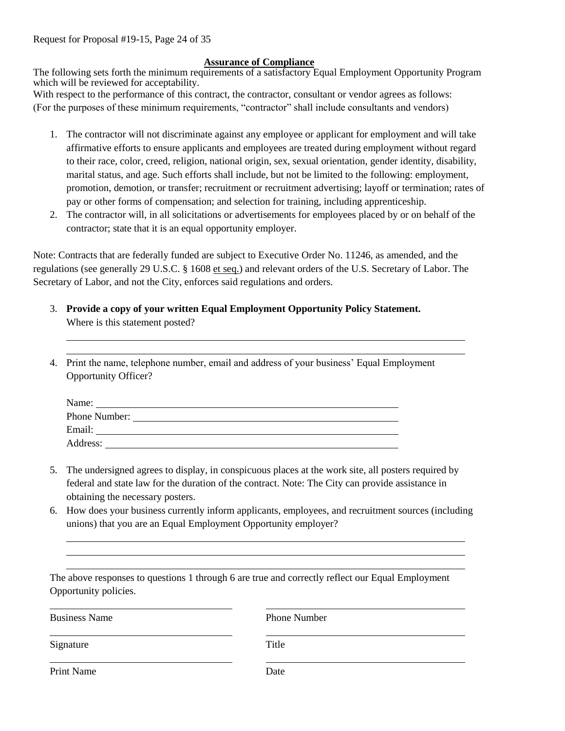Request for Proposal #19-15, Page 24 of 35

#### **Assurance of Compliance**

The following sets forth the minimum requirements of a satisfactory Equal Employment Opportunity Program which will be reviewed for acceptability.

With respect to the performance of this contract, the contractor, consultant or vendor agrees as follows: (For the purposes of these minimum requirements, "contractor" shall include consultants and vendors)

- 1. The contractor will not discriminate against any employee or applicant for employment and will take affirmative efforts to ensure applicants and employees are treated during employment without regard to their race, color, creed, religion, national origin, sex, sexual orientation, gender identity, disability, marital status, and age. Such efforts shall include, but not be limited to the following: employment, promotion, demotion, or transfer; recruitment or recruitment advertising; layoff or termination; rates of pay or other forms of compensation; and selection for training, including apprenticeship.
- 2. The contractor will, in all solicitations or advertisements for employees placed by or on behalf of the contractor; state that it is an equal opportunity employer.

Note: Contracts that are federally funded are subject to Executive Order No. 11246, as amended, and the regulations (see generally 29 U.S.C. § 1608 et seq.) and relevant orders of the U.S. Secretary of Labor. The Secretary of Labor, and not the City, enforces said regulations and orders.

- 3. **Provide a copy of your written Equal Employment Opportunity Policy Statement.** Where is this statement posted?
- 4. Print the name, telephone number, email and address of your business' Equal Employment Opportunity Officer?

| Name:         |  |
|---------------|--|
| Phone Number: |  |
| Email:        |  |
| Address:      |  |

- 5. The undersigned agrees to display, in conspicuous places at the work site, all posters required by federal and state law for the duration of the contract. Note: The City can provide assistance in obtaining the necessary posters.
- 6. How does your business currently inform applicants, employees, and recruitment sources (including unions) that you are an Equal Employment Opportunity employer?

The above responses to questions 1 through 6 are true and correctly reflect our Equal Employment Opportunity policies.

| <b>Business Name</b> | <b>Phone Number</b> |
|----------------------|---------------------|
| Signature            | Title               |
| Print Name           | Date                |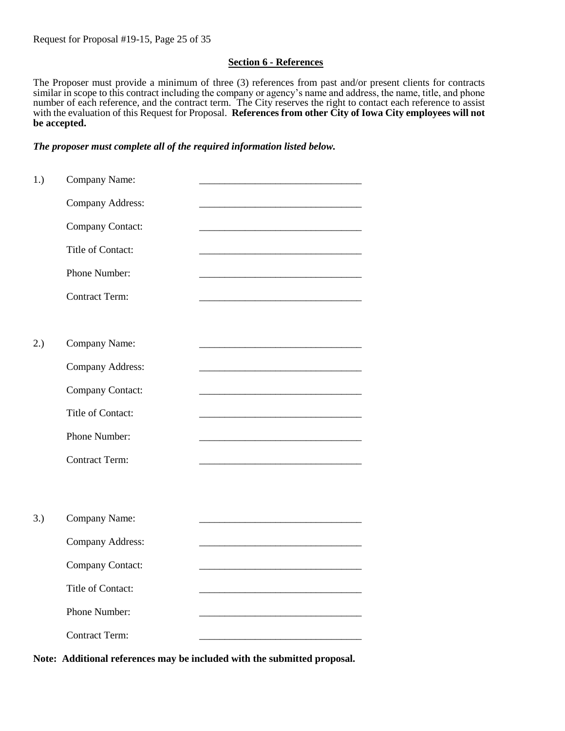## **Section 6 - References**

The Proposer must provide a minimum of three (3) references from past and/or present clients for contracts similar in scope to this contract including the company or agency's name and address, the name, title, and phone number of each reference, and the contract term. The City reserves the right to contact each reference to assist with the evaluation of this Request for Proposal. **References from other City of Iowa City employees will not be accepted.** 

#### *The proposer must complete all of the required information listed below.*

| 1.) | Company Name:           |  |
|-----|-------------------------|--|
|     | <b>Company Address:</b> |  |
|     | Company Contact:        |  |
|     | Title of Contact:       |  |
|     | Phone Number:           |  |
|     | <b>Contract Term:</b>   |  |
|     |                         |  |
| 2.) | Company Name:           |  |
|     | Company Address:        |  |
|     | Company Contact:        |  |
|     | Title of Contact:       |  |
|     | Phone Number:           |  |
|     | <b>Contract Term:</b>   |  |
|     |                         |  |
|     |                         |  |
| 3.) | Company Name:           |  |
|     | <b>Company Address:</b> |  |
|     | Company Contact:        |  |
|     | Title of Contact:       |  |
|     | Phone Number:           |  |
|     | <b>Contract Term:</b>   |  |
|     |                         |  |

**Note: Additional references may be included with the submitted proposal.**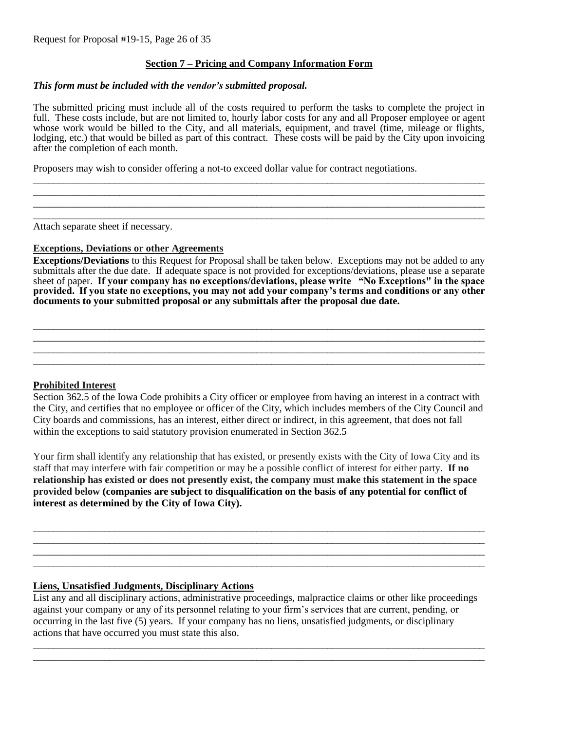## **Section 7 – Pricing and Company Information Form**

#### *This form must be included with the vendor's submitted proposal.*

The submitted pricing must include all of the costs required to perform the tasks to complete the project in full. These costs include, but are not limited to, hourly labor costs for any and all Proposer employee or agent whose work would be billed to the City, and all materials, equipment, and travel (time, mileage or flights, lodging, etc.) that would be billed as part of this contract. These costs will be paid by the City upon invoicing after the completion of each month.

\_\_\_\_\_\_\_\_\_\_\_\_\_\_\_\_\_\_\_\_\_\_\_\_\_\_\_\_\_\_\_\_\_\_\_\_\_\_\_\_\_\_\_\_\_\_\_\_\_\_\_\_\_\_\_\_\_\_\_\_\_\_\_\_\_\_\_\_\_\_\_\_\_\_\_\_\_\_\_\_\_\_\_\_\_\_\_\_\_ \_\_\_\_\_\_\_\_\_\_\_\_\_\_\_\_\_\_\_\_\_\_\_\_\_\_\_\_\_\_\_\_\_\_\_\_\_\_\_\_\_\_\_\_\_\_\_\_\_\_\_\_\_\_\_\_\_\_\_\_\_\_\_\_\_\_\_\_\_\_\_\_\_\_\_\_\_\_\_\_\_\_\_\_\_\_\_\_\_ \_\_\_\_\_\_\_\_\_\_\_\_\_\_\_\_\_\_\_\_\_\_\_\_\_\_\_\_\_\_\_\_\_\_\_\_\_\_\_\_\_\_\_\_\_\_\_\_\_\_\_\_\_\_\_\_\_\_\_\_\_\_\_\_\_\_\_\_\_\_\_\_\_\_\_\_\_\_\_\_\_\_\_\_\_\_\_\_\_ \_\_\_\_\_\_\_\_\_\_\_\_\_\_\_\_\_\_\_\_\_\_\_\_\_\_\_\_\_\_\_\_\_\_\_\_\_\_\_\_\_\_\_\_\_\_\_\_\_\_\_\_\_\_\_\_\_\_\_\_\_\_\_\_\_\_\_\_\_\_\_\_\_\_\_\_\_\_\_\_\_\_\_\_\_\_\_\_\_

Proposers may wish to consider offering a not-to exceed dollar value for contract negotiations.

Attach separate sheet if necessary.

#### **Exceptions, Deviations or other Agreements**

**Exceptions/Deviations** to this Request for Proposal shall be taken below. Exceptions may not be added to any submittals after the due date. If adequate space is not provided for exceptions/deviations, please use a separate sheet of paper. **If your company has no exceptions/deviations, please write "No Exceptions" in the space provided. If you state no exceptions, you may not add your company's terms and conditions or any other documents to your submitted proposal or any submittals after the proposal due date.**

\_\_\_\_\_\_\_\_\_\_\_\_\_\_\_\_\_\_\_\_\_\_\_\_\_\_\_\_\_\_\_\_\_\_\_\_\_\_\_\_\_\_\_\_\_\_\_\_\_\_\_\_\_\_\_\_\_\_\_\_\_\_\_\_\_\_\_\_\_\_\_\_\_\_\_\_\_\_\_\_\_\_\_\_\_\_\_\_\_ \_\_\_\_\_\_\_\_\_\_\_\_\_\_\_\_\_\_\_\_\_\_\_\_\_\_\_\_\_\_\_\_\_\_\_\_\_\_\_\_\_\_\_\_\_\_\_\_\_\_\_\_\_\_\_\_\_\_\_\_\_\_\_\_\_\_\_\_\_\_\_\_\_\_\_\_\_\_\_\_\_\_\_\_\_\_\_\_\_ \_\_\_\_\_\_\_\_\_\_\_\_\_\_\_\_\_\_\_\_\_\_\_\_\_\_\_\_\_\_\_\_\_\_\_\_\_\_\_\_\_\_\_\_\_\_\_\_\_\_\_\_\_\_\_\_\_\_\_\_\_\_\_\_\_\_\_\_\_\_\_\_\_\_\_\_\_\_\_\_\_\_\_\_\_\_\_\_\_ \_\_\_\_\_\_\_\_\_\_\_\_\_\_\_\_\_\_\_\_\_\_\_\_\_\_\_\_\_\_\_\_\_\_\_\_\_\_\_\_\_\_\_\_\_\_\_\_\_\_\_\_\_\_\_\_\_\_\_\_\_\_\_\_\_\_\_\_\_\_\_\_\_\_\_\_\_\_\_\_\_\_\_\_\_\_\_\_\_

#### **Prohibited Interest**

Section 362.5 of the Iowa Code prohibits a City officer or employee from having an interest in a contract with the City, and certifies that no employee or officer of the City, which includes members of the City Council and City boards and commissions, has an interest, either direct or indirect, in this agreement, that does not fall within the exceptions to said statutory provision enumerated in Section 362.5

Your firm shall identify any relationship that has existed, or presently exists with the City of Iowa City and its staff that may interfere with fair competition or may be a possible conflict of interest for either party. **If no relationship has existed or does not presently exist, the company must make this statement in the space provided below (companies are subject to disqualification on the basis of any potential for conflict of interest as determined by the City of Iowa City).**

\_\_\_\_\_\_\_\_\_\_\_\_\_\_\_\_\_\_\_\_\_\_\_\_\_\_\_\_\_\_\_\_\_\_\_\_\_\_\_\_\_\_\_\_\_\_\_\_\_\_\_\_\_\_\_\_\_\_\_\_\_\_\_\_\_\_\_\_\_\_\_\_\_\_\_\_\_\_\_\_\_\_\_\_\_\_\_\_\_ \_\_\_\_\_\_\_\_\_\_\_\_\_\_\_\_\_\_\_\_\_\_\_\_\_\_\_\_\_\_\_\_\_\_\_\_\_\_\_\_\_\_\_\_\_\_\_\_\_\_\_\_\_\_\_\_\_\_\_\_\_\_\_\_\_\_\_\_\_\_\_\_\_\_\_\_\_\_\_\_\_\_\_\_\_\_\_\_\_ \_\_\_\_\_\_\_\_\_\_\_\_\_\_\_\_\_\_\_\_\_\_\_\_\_\_\_\_\_\_\_\_\_\_\_\_\_\_\_\_\_\_\_\_\_\_\_\_\_\_\_\_\_\_\_\_\_\_\_\_\_\_\_\_\_\_\_\_\_\_\_\_\_\_\_\_\_\_\_\_\_\_\_\_\_\_\_\_\_ \_\_\_\_\_\_\_\_\_\_\_\_\_\_\_\_\_\_\_\_\_\_\_\_\_\_\_\_\_\_\_\_\_\_\_\_\_\_\_\_\_\_\_\_\_\_\_\_\_\_\_\_\_\_\_\_\_\_\_\_\_\_\_\_\_\_\_\_\_\_\_\_\_\_\_\_\_\_\_\_\_\_\_\_\_\_\_\_\_

#### **Liens, Unsatisfied Judgments, Disciplinary Actions**

List any and all disciplinary actions, administrative proceedings, malpractice claims or other like proceedings against your company or any of its personnel relating to your firm's services that are current, pending, or occurring in the last five (5) years. If your company has no liens, unsatisfied judgments, or disciplinary actions that have occurred you must state this also.

\_\_\_\_\_\_\_\_\_\_\_\_\_\_\_\_\_\_\_\_\_\_\_\_\_\_\_\_\_\_\_\_\_\_\_\_\_\_\_\_\_\_\_\_\_\_\_\_\_\_\_\_\_\_\_\_\_\_\_\_\_\_\_\_\_\_\_\_\_\_\_\_\_\_\_\_\_\_\_\_\_\_\_\_\_\_\_\_\_ \_\_\_\_\_\_\_\_\_\_\_\_\_\_\_\_\_\_\_\_\_\_\_\_\_\_\_\_\_\_\_\_\_\_\_\_\_\_\_\_\_\_\_\_\_\_\_\_\_\_\_\_\_\_\_\_\_\_\_\_\_\_\_\_\_\_\_\_\_\_\_\_\_\_\_\_\_\_\_\_\_\_\_\_\_\_\_\_\_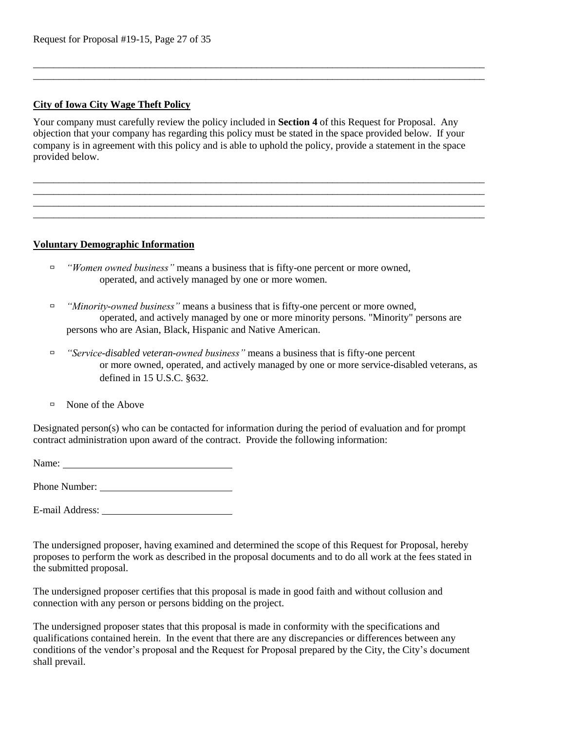# **City of Iowa City Wage Theft Policy**

Your company must carefully review the policy included in **Section 4** of this Request for Proposal. Any objection that your company has regarding this policy must be stated in the space provided below. If your company is in agreement with this policy and is able to uphold the policy, provide a statement in the space provided below.

\_\_\_\_\_\_\_\_\_\_\_\_\_\_\_\_\_\_\_\_\_\_\_\_\_\_\_\_\_\_\_\_\_\_\_\_\_\_\_\_\_\_\_\_\_\_\_\_\_\_\_\_\_\_\_\_\_\_\_\_\_\_\_\_\_\_\_\_\_\_\_\_\_\_\_\_\_\_\_\_\_\_\_\_\_\_\_\_\_ \_\_\_\_\_\_\_\_\_\_\_\_\_\_\_\_\_\_\_\_\_\_\_\_\_\_\_\_\_\_\_\_\_\_\_\_\_\_\_\_\_\_\_\_\_\_\_\_\_\_\_\_\_\_\_\_\_\_\_\_\_\_\_\_\_\_\_\_\_\_\_\_\_\_\_\_\_\_\_\_\_\_\_\_\_\_\_\_\_ \_\_\_\_\_\_\_\_\_\_\_\_\_\_\_\_\_\_\_\_\_\_\_\_\_\_\_\_\_\_\_\_\_\_\_\_\_\_\_\_\_\_\_\_\_\_\_\_\_\_\_\_\_\_\_\_\_\_\_\_\_\_\_\_\_\_\_\_\_\_\_\_\_\_\_\_\_\_\_\_\_\_\_\_\_\_\_\_\_ \_\_\_\_\_\_\_\_\_\_\_\_\_\_\_\_\_\_\_\_\_\_\_\_\_\_\_\_\_\_\_\_\_\_\_\_\_\_\_\_\_\_\_\_\_\_\_\_\_\_\_\_\_\_\_\_\_\_\_\_\_\_\_\_\_\_\_\_\_\_\_\_\_\_\_\_\_\_\_\_\_\_\_\_\_\_\_\_\_

\_\_\_\_\_\_\_\_\_\_\_\_\_\_\_\_\_\_\_\_\_\_\_\_\_\_\_\_\_\_\_\_\_\_\_\_\_\_\_\_\_\_\_\_\_\_\_\_\_\_\_\_\_\_\_\_\_\_\_\_\_\_\_\_\_\_\_\_\_\_\_\_\_\_\_\_\_\_\_\_\_\_\_\_\_\_\_\_\_ \_\_\_\_\_\_\_\_\_\_\_\_\_\_\_\_\_\_\_\_\_\_\_\_\_\_\_\_\_\_\_\_\_\_\_\_\_\_\_\_\_\_\_\_\_\_\_\_\_\_\_\_\_\_\_\_\_\_\_\_\_\_\_\_\_\_\_\_\_\_\_\_\_\_\_\_\_\_\_\_\_\_\_\_\_\_\_\_\_

## **Voluntary Demographic Information**

- *"Women owned business"* means a business that is fifty-one percent or more owned, operated, and actively managed by one or more women.
- *"Minority-owned business"* means a business that is fifty-one percent or more owned, operated, and actively managed by one or more minority persons. "Minority" persons are persons who are Asian, Black, Hispanic and Native American.
- *"Service-disabled veteran-owned business"* means a business that is fifty-one percent or more owned, operated, and actively managed by one or more service-disabled veterans, as defined in 15 U.S.C. §632.
- None of the Above

Designated person(s) who can be contacted for information during the period of evaluation and for prompt contract administration upon award of the contract. Provide the following information:

Name:

Phone Number:

E-mail Address:

The undersigned proposer, having examined and determined the scope of this Request for Proposal, hereby proposes to perform the work as described in the proposal documents and to do all work at the fees stated in the submitted proposal.

The undersigned proposer certifies that this proposal is made in good faith and without collusion and connection with any person or persons bidding on the project.

The undersigned proposer states that this proposal is made in conformity with the specifications and qualifications contained herein. In the event that there are any discrepancies or differences between any conditions of the vendor's proposal and the Request for Proposal prepared by the City, the City's document shall prevail.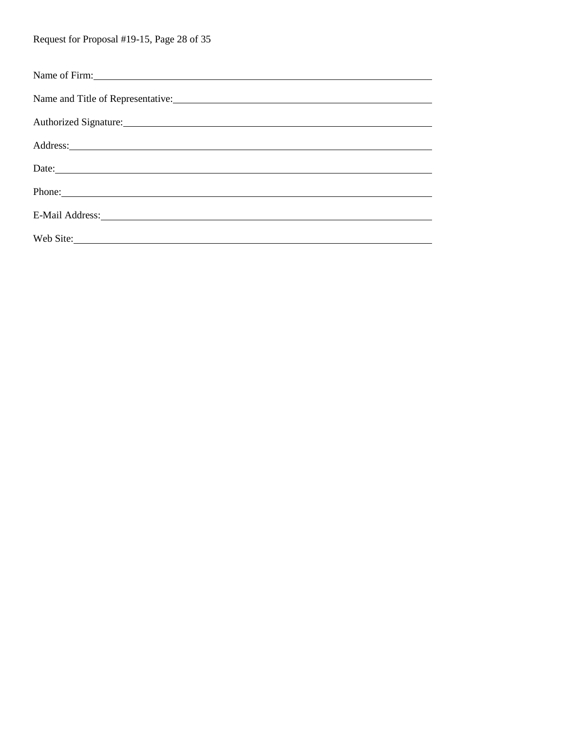| Name of Firm:                                                                                                                                                                                                                        |
|--------------------------------------------------------------------------------------------------------------------------------------------------------------------------------------------------------------------------------------|
| Name and Title of Representative:                                                                                                                                                                                                    |
| Authorized Signature:                                                                                                                                                                                                                |
| Address: <u>and the second contract of the second contract of the second contract of the second contract of the second contract of the second contract of the second contract of the second contract of the second contract of t</u> |
| Date:                                                                                                                                                                                                                                |
| Phone:                                                                                                                                                                                                                               |
| E-Mail Address: No. 1998. The Mail Address:                                                                                                                                                                                          |
|                                                                                                                                                                                                                                      |
| Web Site:                                                                                                                                                                                                                            |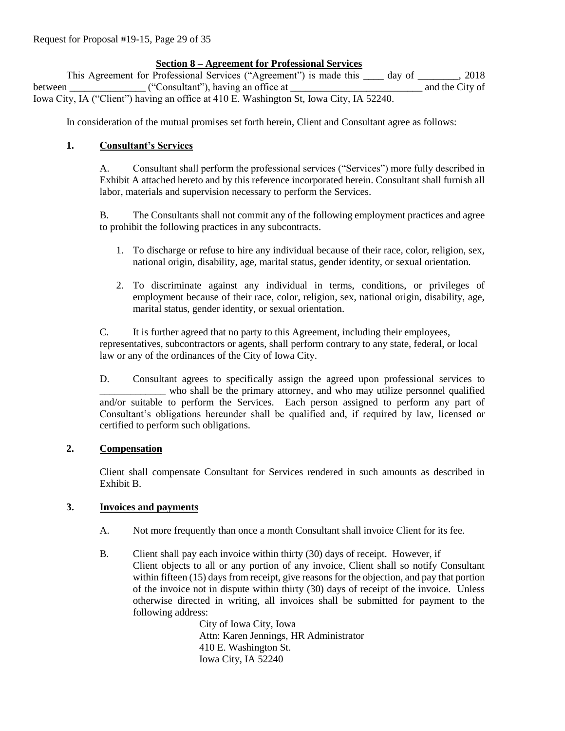# **Section 8 – Agreement for Professional Services**

This Agreement for Professional Services ("Agreement") is made this \_\_\_\_ day of \_\_\_\_\_\_\_\_, 2018 between ("Consultant"), having an office at \_\_\_\_\_\_\_\_\_\_\_\_\_\_\_\_\_\_\_\_\_\_ and the City of Iowa City, IA ("Client") having an office at 410 E. Washington St, Iowa City, IA 52240.

In consideration of the mutual promises set forth herein, Client and Consultant agree as follows:

## **1. Consultant's Services**

A. Consultant shall perform the professional services ("Services") more fully described in Exhibit A attached hereto and by this reference incorporated herein. Consultant shall furnish all labor, materials and supervision necessary to perform the Services.

B. The Consultants shall not commit any of the following employment practices and agree to prohibit the following practices in any subcontracts.

- 1. To discharge or refuse to hire any individual because of their race, color, religion, sex, national origin, disability, age, marital status, gender identity, or sexual orientation.
- 2. To discriminate against any individual in terms, conditions, or privileges of employment because of their race, color, religion, sex, national origin, disability, age, marital status, gender identity, or sexual orientation.

C. It is further agreed that no party to this Agreement, including their employees, representatives, subcontractors or agents, shall perform contrary to any state, federal, or local law or any of the ordinances of the City of Iowa City.

D. Consultant agrees to specifically assign the agreed upon professional services to \_\_\_\_\_\_\_\_\_\_\_\_\_ who shall be the primary attorney, and who may utilize personnel qualified and/or suitable to perform the Services. Each person assigned to perform any part of Consultant's obligations hereunder shall be qualified and, if required by law, licensed or certified to perform such obligations.

## **2. Compensation**

Client shall compensate Consultant for Services rendered in such amounts as described in Exhibit B.

## **3. Invoices and payments**

- A. Not more frequently than once a month Consultant shall invoice Client for its fee.
- B. Client shall pay each invoice within thirty (30) days of receipt. However, if Client objects to all or any portion of any invoice, Client shall so notify Consultant within fifteen (15) days from receipt, give reasons for the objection, and pay that portion of the invoice not in dispute within thirty (30) days of receipt of the invoice. Unless otherwise directed in writing, all invoices shall be submitted for payment to the following address:

City of Iowa City, Iowa Attn: Karen Jennings, HR Administrator 410 E. Washington St. Iowa City, IA 52240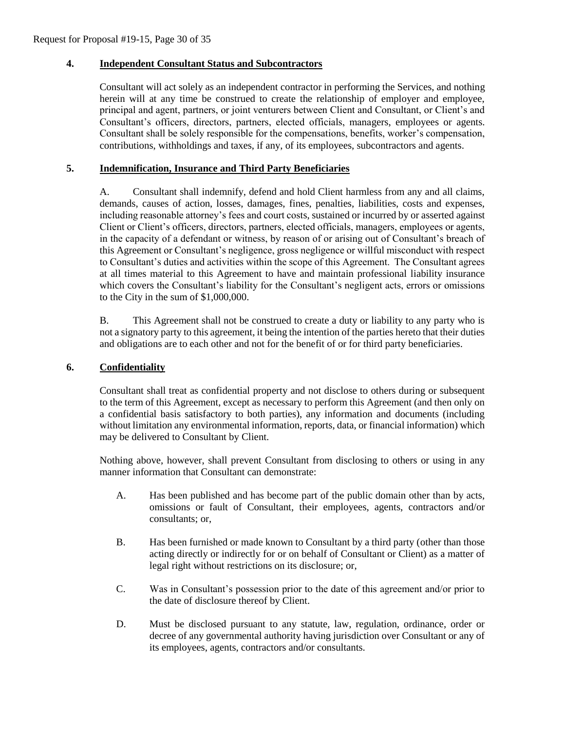#### **4. Independent Consultant Status and Subcontractors**

Consultant will act solely as an independent contractor in performing the Services, and nothing herein will at any time be construed to create the relationship of employer and employee, principal and agent, partners, or joint venturers between Client and Consultant, or Client's and Consultant's officers, directors, partners, elected officials, managers, employees or agents. Consultant shall be solely responsible for the compensations, benefits, worker's compensation, contributions, withholdings and taxes, if any, of its employees, subcontractors and agents.

## **5. Indemnification, Insurance and Third Party Beneficiaries**

A. Consultant shall indemnify, defend and hold Client harmless from any and all claims, demands, causes of action, losses, damages, fines, penalties, liabilities, costs and expenses, including reasonable attorney's fees and court costs, sustained or incurred by or asserted against Client or Client's officers, directors, partners, elected officials, managers, employees or agents, in the capacity of a defendant or witness, by reason of or arising out of Consultant's breach of this Agreement or Consultant's negligence, gross negligence or willful misconduct with respect to Consultant's duties and activities within the scope of this Agreement. The Consultant agrees at all times material to this Agreement to have and maintain professional liability insurance which covers the Consultant's liability for the Consultant's negligent acts, errors or omissions to the City in the sum of \$1,000,000.

B. This Agreement shall not be construed to create a duty or liability to any party who is not a signatory party to this agreement, it being the intention of the parties hereto that their duties and obligations are to each other and not for the benefit of or for third party beneficiaries.

#### **6. Confidentiality**

Consultant shall treat as confidential property and not disclose to others during or subsequent to the term of this Agreement, except as necessary to perform this Agreement (and then only on a confidential basis satisfactory to both parties), any information and documents (including without limitation any environmental information, reports, data, or financial information) which may be delivered to Consultant by Client.

Nothing above, however, shall prevent Consultant from disclosing to others or using in any manner information that Consultant can demonstrate:

- A. Has been published and has become part of the public domain other than by acts, omissions or fault of Consultant, their employees, agents, contractors and/or consultants; or,
- B. Has been furnished or made known to Consultant by a third party (other than those acting directly or indirectly for or on behalf of Consultant or Client) as a matter of legal right without restrictions on its disclosure; or,
- C. Was in Consultant's possession prior to the date of this agreement and/or prior to the date of disclosure thereof by Client.
- D. Must be disclosed pursuant to any statute, law, regulation, ordinance, order or decree of any governmental authority having jurisdiction over Consultant or any of its employees, agents, contractors and/or consultants.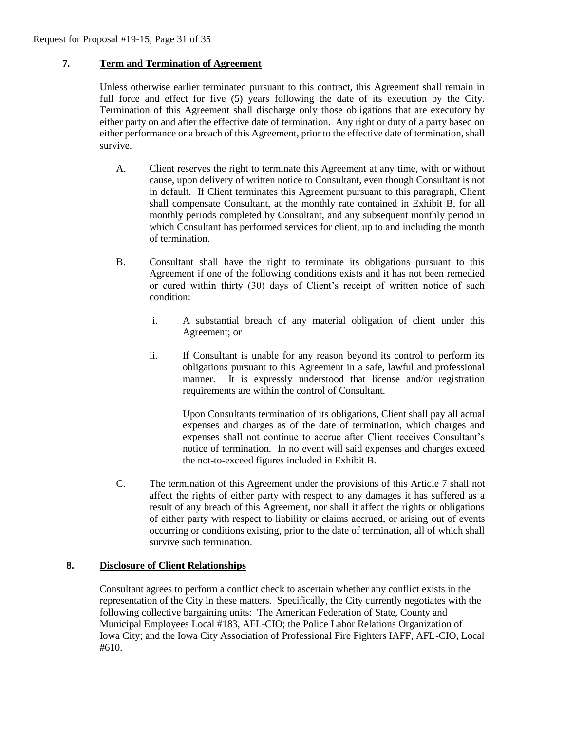## **7. Term and Termination of Agreement**

Unless otherwise earlier terminated pursuant to this contract, this Agreement shall remain in full force and effect for five (5) years following the date of its execution by the City. Termination of this Agreement shall discharge only those obligations that are executory by either party on and after the effective date of termination. Any right or duty of a party based on either performance or a breach of this Agreement, prior to the effective date of termination, shall survive.

- A. Client reserves the right to terminate this Agreement at any time, with or without cause, upon delivery of written notice to Consultant, even though Consultant is not in default. If Client terminates this Agreement pursuant to this paragraph, Client shall compensate Consultant, at the monthly rate contained in Exhibit B, for all monthly periods completed by Consultant, and any subsequent monthly period in which Consultant has performed services for client, up to and including the month of termination.
- B. Consultant shall have the right to terminate its obligations pursuant to this Agreement if one of the following conditions exists and it has not been remedied or cured within thirty (30) days of Client's receipt of written notice of such condition:
	- i. A substantial breach of any material obligation of client under this Agreement; or
	- ii. If Consultant is unable for any reason beyond its control to perform its obligations pursuant to this Agreement in a safe, lawful and professional manner. It is expressly understood that license and/or registration requirements are within the control of Consultant.

Upon Consultants termination of its obligations, Client shall pay all actual expenses and charges as of the date of termination, which charges and expenses shall not continue to accrue after Client receives Consultant's notice of termination. In no event will said expenses and charges exceed the not-to-exceed figures included in Exhibit B.

C. The termination of this Agreement under the provisions of this Article 7 shall not affect the rights of either party with respect to any damages it has suffered as a result of any breach of this Agreement, nor shall it affect the rights or obligations of either party with respect to liability or claims accrued, or arising out of events occurring or conditions existing, prior to the date of termination, all of which shall survive such termination.

#### **8. Disclosure of Client Relationships**

Consultant agrees to perform a conflict check to ascertain whether any conflict exists in the representation of the City in these matters. Specifically, the City currently negotiates with the following collective bargaining units: The American Federation of State, County and Municipal Employees Local #183, AFL-CIO; the Police Labor Relations Organization of Iowa City; and the Iowa City Association of Professional Fire Fighters IAFF, AFL-CIO, Local #610.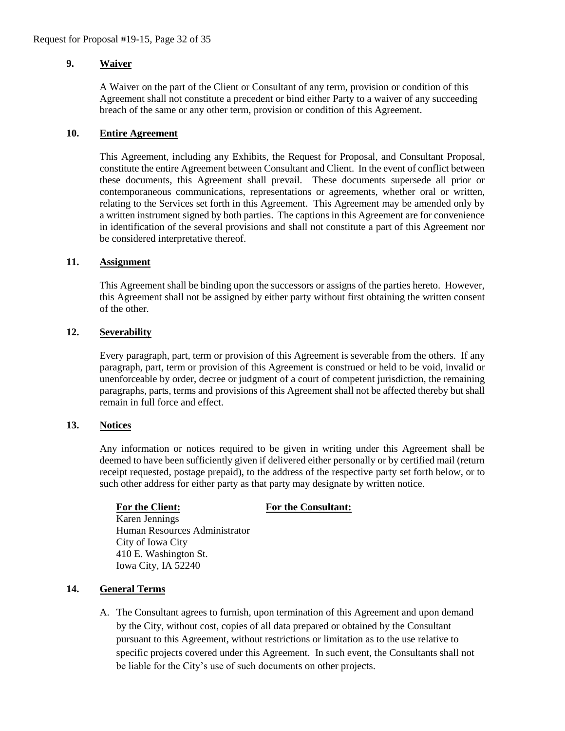## **9. Waiver**

A Waiver on the part of the Client or Consultant of any term, provision or condition of this Agreement shall not constitute a precedent or bind either Party to a waiver of any succeeding breach of the same or any other term, provision or condition of this Agreement.

#### **10. Entire Agreement**

This Agreement, including any Exhibits, the Request for Proposal, and Consultant Proposal, constitute the entire Agreement between Consultant and Client. In the event of conflict between these documents, this Agreement shall prevail. These documents supersede all prior or contemporaneous communications, representations or agreements, whether oral or written, relating to the Services set forth in this Agreement. This Agreement may be amended only by a written instrument signed by both parties. The captions in this Agreement are for convenience in identification of the several provisions and shall not constitute a part of this Agreement nor be considered interpretative thereof.

## **11. Assignment**

This Agreement shall be binding upon the successors or assigns of the parties hereto. However, this Agreement shall not be assigned by either party without first obtaining the written consent of the other.

## **12. Severability**

Every paragraph, part, term or provision of this Agreement is severable from the others. If any paragraph, part, term or provision of this Agreement is construed or held to be void, invalid or unenforceable by order, decree or judgment of a court of competent jurisdiction, the remaining paragraphs, parts, terms and provisions of this Agreement shall not be affected thereby but shall remain in full force and effect.

#### **13. Notices**

Any information or notices required to be given in writing under this Agreement shall be deemed to have been sufficiently given if delivered either personally or by certified mail (return receipt requested, postage prepaid), to the address of the respective party set forth below, or to such other address for either party as that party may designate by written notice.

#### **For the Client: For the Consultant:**

Karen Jennings Human Resources Administrator City of Iowa City 410 E. Washington St. Iowa City, IA 52240

## **14. General Terms**

A. The Consultant agrees to furnish, upon termination of this Agreement and upon demand by the City, without cost, copies of all data prepared or obtained by the Consultant pursuant to this Agreement, without restrictions or limitation as to the use relative to specific projects covered under this Agreement. In such event, the Consultants shall not be liable for the City's use of such documents on other projects.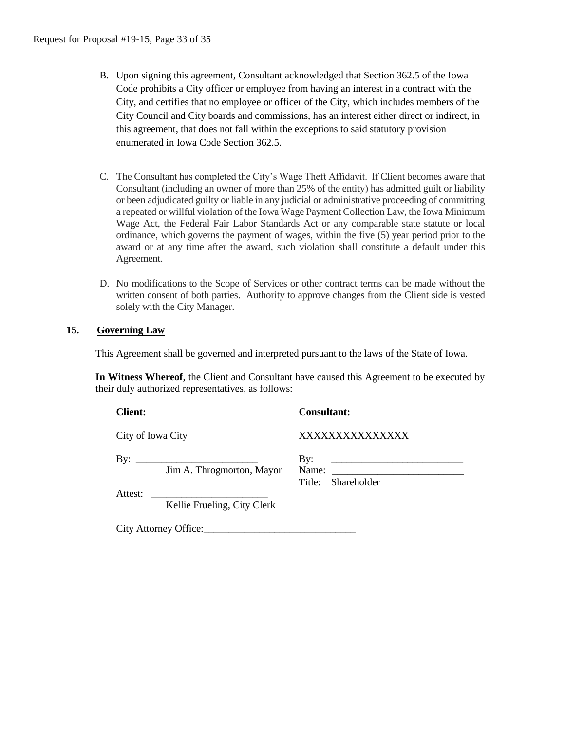- B. Upon signing this agreement, Consultant acknowledged that Section 362.5 of the Iowa Code prohibits a City officer or employee from having an interest in a contract with the City, and certifies that no employee or officer of the City, which includes members of the City Council and City boards and commissions, has an interest either direct or indirect, in this agreement, that does not fall within the exceptions to said statutory provision enumerated in Iowa Code Section 362.5.
- C. The Consultant has completed the City's Wage Theft Affidavit. If Client becomes aware that Consultant (including an owner of more than 25% of the entity) has admitted guilt or liability or been adjudicated guilty or liable in any judicial or administrative proceeding of committing a repeated or willful violation of the Iowa Wage Payment Collection Law, the Iowa Minimum Wage Act, the Federal Fair Labor Standards Act or any comparable state statute or local ordinance, which governs the payment of wages, within the five (5) year period prior to the award or at any time after the award, such violation shall constitute a default under this Agreement.
- D. No modifications to the Scope of Services or other contract terms can be made without the written consent of both parties. Authority to approve changes from the Client side is vested solely with the City Manager.

## **15. Governing Law**

This Agreement shall be governed and interpreted pursuant to the laws of the State of Iowa.

**In Witness Whereof**, the Client and Consultant have caused this Agreement to be executed by their duly authorized representatives, as follows:

**Client: Consultant:** City of Iowa City XXXXXXXXXXXXXXX By: \_\_\_\_\_\_\_\_\_\_\_\_\_\_\_\_\_\_\_\_\_\_\_\_ By: \_\_\_\_\_\_\_\_\_\_\_\_\_\_\_\_\_\_\_\_\_\_\_\_\_\_ Jim A. Throgmorton, Mayor Name: Title: Shareholder Attest: \_\_\_\_\_\_\_\_\_\_\_\_\_\_\_\_\_\_\_\_\_\_\_ Kellie Frueling, City Clerk

City Attorney Office: 2008. Example 2014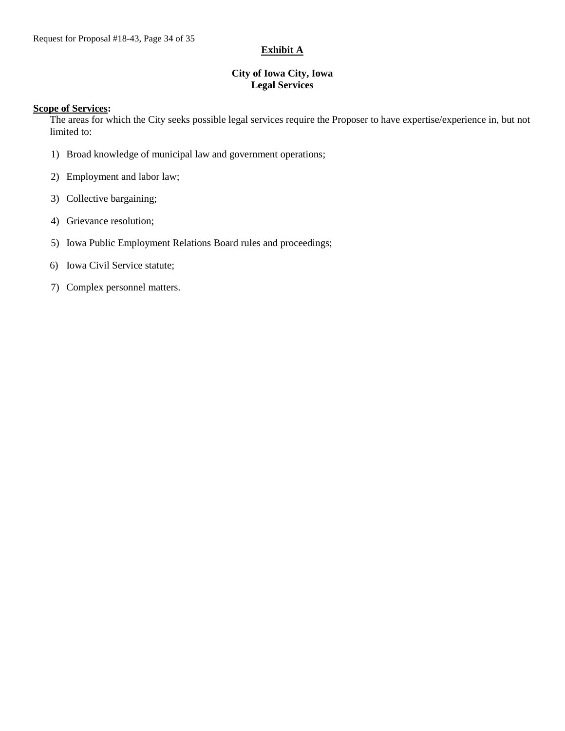# **Exhibit A**

## **City of Iowa City, Iowa Legal Services**

#### **Scope of Services:**

The areas for which the City seeks possible legal services require the Proposer to have expertise/experience in, but not limited to:

- 1) Broad knowledge of municipal law and government operations;
- 2) Employment and labor law;
- 3) Collective bargaining;
- 4) Grievance resolution;
- 5) Iowa Public Employment Relations Board rules and proceedings;
- 6) Iowa Civil Service statute;
- 7) Complex personnel matters.